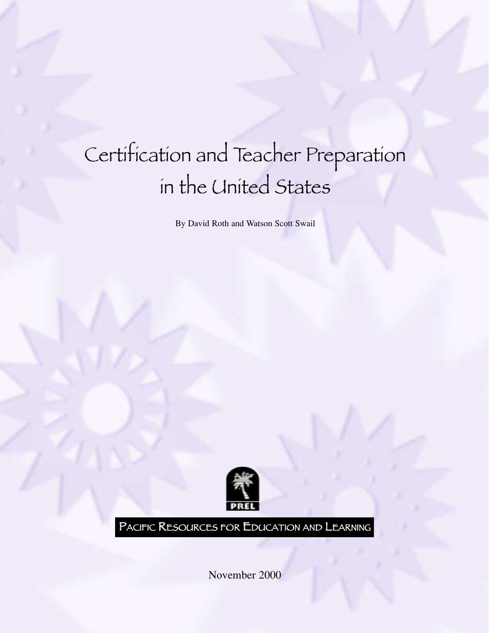# Certification and Teacher Preparation in the United States

By David Roth and Watson Scott Swail



PACIFIC RESOURCES FOR EDUCATION AND LEARNING

November 2000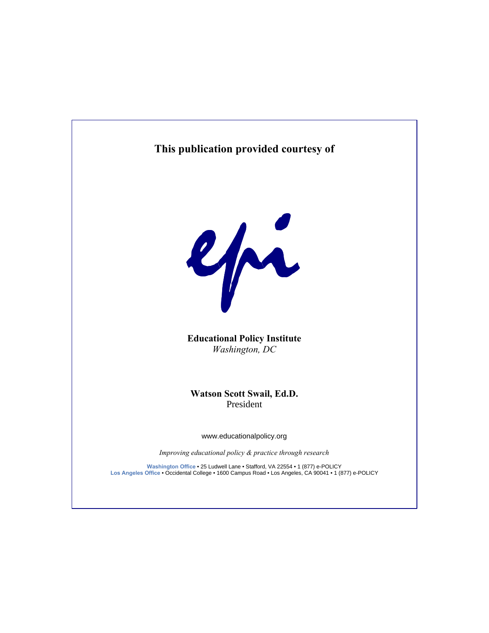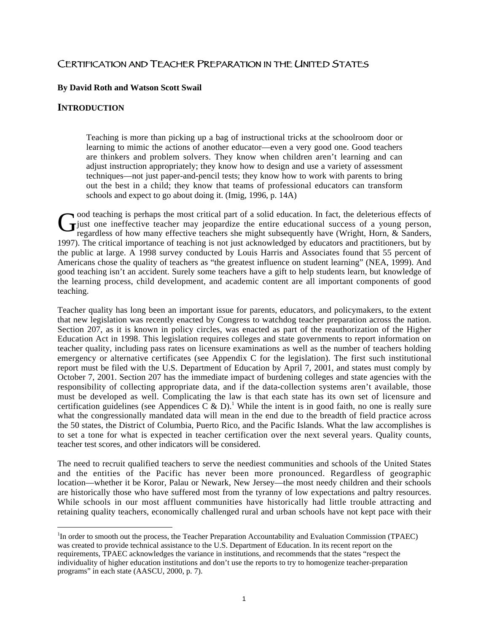### CERTIFICATION AND TEACHER PREPARATION IN THE UNITED STATES

#### **By David Roth and Watson Scott Swail**

### **INTRODUCTION**

Teaching is more than picking up a bag of instructional tricks at the schoolroom door or learning to mimic the actions of another educator—even a very good one. Good teachers are thinkers and problem solvers. They know when children aren't learning and can adjust instruction appropriately; they know how to design and use a variety of assessment techniques—not just paper-and-pencil tests; they know how to work with parents to bring out the best in a child; they know that teams of professional educators can transform schools and expect to go about doing it. (Imig, 1996, p. 14A)

ood teaching is perhaps the most critical part of a solid education. In fact, the deleterious effects of just one ineffective teacher may jeopardize the entire educational success of a young person, regardless of how many effective teachers she might subsequently have (Wright, Horn, & Sanders, 1997). The critical importance of teaching is not just acknowledged by educators and practitioners, but by the public at large. A 1998 survey conducted by Louis Harris and Associates found that 55 percent of Americans chose the quality of teachers as "the greatest influence on student learning" (NEA, 1999). And good teaching isn't an accident. Surely some teachers have a gift to help students learn, but knowledge of the learning process, child development, and academic content are all important components of good teaching. G

Teacher quality has long been an important issue for parents, educators, and policymakers, to the extent that new legislation was recently enacted by Congress to watchdog teacher preparation across the nation. Section 207, as it is known in policy circles, was enacted as part of the reauthorization of the Higher Education Act in 1998. This legislation requires colleges and state governments to report information on teacher quality, including pass rates on licensure examinations as well as the number of teachers holding emergency or alternative certificates (see Appendix C for the legislation). The first such institutional report must be filed with the U.S. Department of Education by April 7, 2001, and states must comply by October 7, 2001. Section 207 has the immediate impact of burdening colleges and state agencies with the responsibility of collecting appropriate data, and if the data-collection systems aren't available, those must be developed as well. Complicating the law is that each state has its own set of licensure and certification guidelines (see Appendices C & D).<sup>1</sup> While the intent is in good faith, no one is really sure what the congressionally mandated data will mean in the end due to the breadth of field practice across the 50 states, the District of Columbia, Puerto Rico, and the Pacific Islands. What the law accomplishes is to set a tone for what is expected in teacher certification over the next several years. Quality counts, teacher test scores, and other indicators will be considered.

The need to recruit qualified teachers to serve the neediest communities and schools of the United States and the entities of the Pacific has never been more pronounced. Regardless of geographic location—whether it be Koror, Palau or Newark, New Jersey—the most needy children and their schools are historically those who have suffered most from the tyranny of low expectations and paltry resources. While schools in our most affluent communities have historically had little trouble attracting and retaining quality teachers, economically challenged rural and urban schools have not kept pace with their

 $\frac{1}{1}$ <sup>1</sup>In order to smooth out the process, the Teacher Preparation Accountability and Evaluation Commission (TPAEC) was created to provide technical assistance to the U.S. Department of Education. In its recent report on the requirements, TPAEC acknowledges the variance in institutions, and recommends that the states "respect the individuality of higher education institutions and don't use the reports to try to homogenize teacher-preparation programs" in each state (AASCU, 2000, p. 7).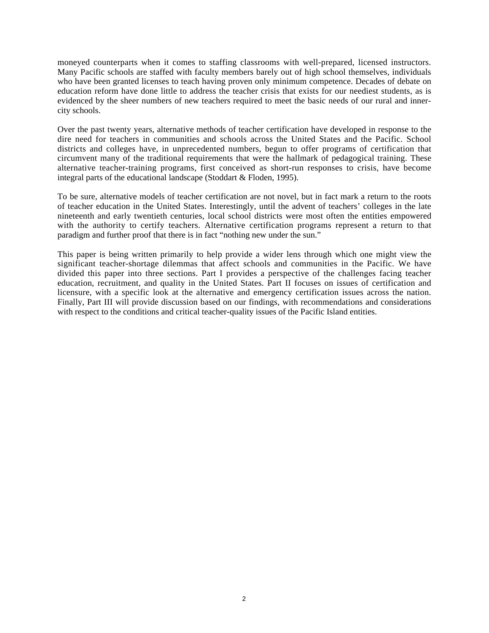moneyed counterparts when it comes to staffing classrooms with well-prepared, licensed instructors. Many Pacific schools are staffed with faculty members barely out of high school themselves, individuals who have been granted licenses to teach having proven only minimum competence. Decades of debate on education reform have done little to address the teacher crisis that exists for our neediest students, as is evidenced by the sheer numbers of new teachers required to meet the basic needs of our rural and innercity schools.

Over the past twenty years, alternative methods of teacher certification have developed in response to the dire need for teachers in communities and schools across the United States and the Pacific. School districts and colleges have, in unprecedented numbers, begun to offer programs of certification that circumvent many of the traditional requirements that were the hallmark of pedagogical training. These alternative teacher-training programs, first conceived as short-run responses to crisis, have become integral parts of the educational landscape (Stoddart & Floden, 1995).

To be sure, alternative models of teacher certification are not novel, but in fact mark a return to the roots of teacher education in the United States. Interestingly, until the advent of teachers' colleges in the late nineteenth and early twentieth centuries, local school districts were most often the entities empowered with the authority to certify teachers. Alternative certification programs represent a return to that paradigm and further proof that there is in fact "nothing new under the sun."

This paper is being written primarily to help provide a wider lens through which one might view the significant teacher-shortage dilemmas that affect schools and communities in the Pacific. We have divided this paper into three sections. Part I provides a perspective of the challenges facing teacher education, recruitment, and quality in the United States. Part II focuses on issues of certification and licensure, with a specific look at the alternative and emergency certification issues across the nation. Finally, Part III will provide discussion based on our findings, with recommendations and considerations with respect to the conditions and critical teacher-quality issues of the Pacific Island entities.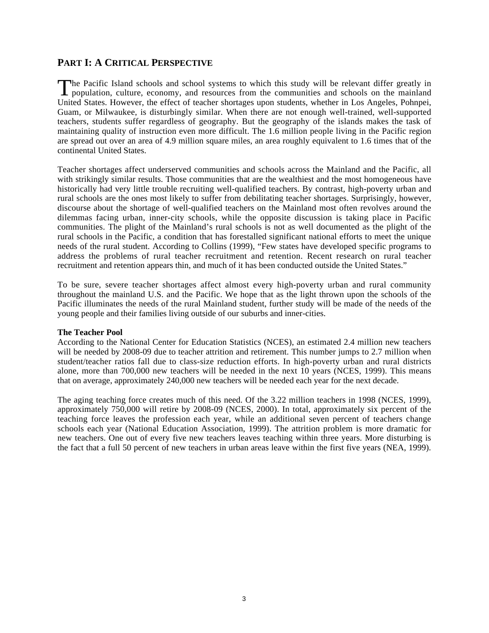### **PART I: A CRITICAL PERSPECTIVE**

The Pacific Island schools and school systems to which this study will be relevant differ greatly in population, culture, economy, and resources from the communities and schools on the mainland United States. However, the effect of teacher shortages upon students, whether in Los Angeles, Pohnpei, Guam, or Milwaukee, is disturbingly similar. When there are not enough well-trained, well-supported teachers, students suffer regardless of geography. But the geography of the islands makes the task of maintaining quality of instruction even more difficult. The 1.6 million people living in the Pacific region are spread out over an area of 4.9 million square miles, an area roughly equivalent to 1.6 times that of the continental United States.  $\prod_{\ldots}$ 

Teacher shortages affect underserved communities and schools across the Mainland and the Pacific, all with strikingly similar results. Those communities that are the wealthiest and the most homogeneous have historically had very little trouble recruiting well-qualified teachers. By contrast, high-poverty urban and rural schools are the ones most likely to suffer from debilitating teacher shortages. Surprisingly, however, discourse about the shortage of well-qualified teachers on the Mainland most often revolves around the dilemmas facing urban, inner-city schools, while the opposite discussion is taking place in Pacific communities. The plight of the Mainland's rural schools is not as well documented as the plight of the rural schools in the Pacific, a condition that has forestalled significant national efforts to meet the unique needs of the rural student. According to Collins (1999), "Few states have developed specific programs to address the problems of rural teacher recruitment and retention. Recent research on rural teacher recruitment and retention appears thin, and much of it has been conducted outside the United States."

To be sure, severe teacher shortages affect almost every high-poverty urban and rural community throughout the mainland U.S. and the Pacific. We hope that as the light thrown upon the schools of the Pacific illuminates the needs of the rural Mainland student, further study will be made of the needs of the young people and their families living outside of our suburbs and inner-cities.

#### **The Teacher Pool**

According to the National Center for Education Statistics (NCES), an estimated 2.4 million new teachers will be needed by 2008-09 due to teacher attrition and retirement. This number jumps to 2.7 million when student/teacher ratios fall due to class-size reduction efforts. In high-poverty urban and rural districts alone, more than 700,000 new teachers will be needed in the next 10 years (NCES, 1999). This means that on average, approximately 240,000 new teachers will be needed each year for the next decade.

The aging teaching force creates much of this need. Of the 3.22 million teachers in 1998 (NCES, 1999), approximately 750,000 will retire by 2008-09 (NCES, 2000). In total, approximately six percent of the teaching force leaves the profession each year, while an additional seven percent of teachers change schools each year (National Education Association, 1999). The attrition problem is more dramatic for new teachers. One out of every five new teachers leaves teaching within three years. More disturbing is the fact that a full 50 percent of new teachers in urban areas leave within the first five years (NEA, 1999).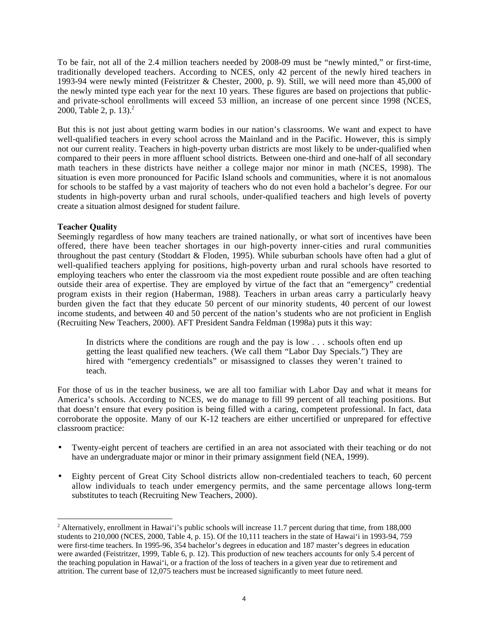To be fair, not all of the 2.4 million teachers needed by 2008-09 must be "newly minted," or first-time, traditionally developed teachers. According to NCES, only 42 percent of the newly hired teachers in 1993-94 were newly minted (Feistritzer & Chester, 2000, p. 9). Still, we will need more than 45,000 of the newly minted type each year for the next 10 years. These figures are based on projections that publicand private-school enrollments will exceed 53 million, an increase of one percent since 1998 (NCES, 2000, Table 2, p. 13).<sup>2</sup>

But this is not just about getting warm bodies in our nation's classrooms. We want and expect to have well-qualified teachers in every school across the Mainland and in the Pacific. However, this is simply not our current reality. Teachers in high-poverty urban districts are most likely to be under-qualified when compared to their peers in more affluent school districts. Between one-third and one-half of all secondary math teachers in these districts have neither a college major nor minor in math (NCES, 1998). The situation is even more pronounced for Pacific Island schools and communities, where it is not anomalous for schools to be staffed by a vast majority of teachers who do not even hold a bachelor's degree. For our students in high-poverty urban and rural schools, under-qualified teachers and high levels of poverty create a situation almost designed for student failure.

### **Teacher Quality**

Seemingly regardless of how many teachers are trained nationally, or what sort of incentives have been offered, there have been teacher shortages in our high-poverty inner-cities and rural communities throughout the past century (Stoddart & Floden, 1995). While suburban schools have often had a glut of well-qualified teachers applying for positions, high-poverty urban and rural schools have resorted to employing teachers who enter the classroom via the most expedient route possible and are often teaching outside their area of expertise. They are employed by virtue of the fact that an "emergency" credential program exists in their region (Haberman, 1988). Teachers in urban areas carry a particularly heavy burden given the fact that they educate 50 percent of our minority students, 40 percent of our lowest income students, and between 40 and 50 percent of the nation's students who are not proficient in English (Recruiting New Teachers, 2000). AFT President Sandra Feldman (1998a) puts it this way:

In districts where the conditions are rough and the pay is low . . . schools often end up getting the least qualified new teachers. (We call them "Labor Day Specials.") They are hired with "emergency credentials" or misassigned to classes they weren't trained to teach.

For those of us in the teacher business, we are all too familiar with Labor Day and what it means for America's schools. According to NCES, we do manage to fill 99 percent of all teaching positions. But that doesn't ensure that every position is being filled with a caring, competent professional. In fact, data corroborate the opposite. Many of our K-12 teachers are either uncertified or unprepared for effective classroom practice:

- Twenty-eight percent of teachers are certified in an area not associated with their teaching or do not have an undergraduate major or minor in their primary assignment field (NEA, 1999).
- Eighty percent of Great City School districts allow non-credentialed teachers to teach, 60 percent allow individuals to teach under emergency permits, and the same percentage allows long-term substitutes to teach (Recruiting New Teachers, 2000).

 $\frac{1}{2}$ <sup>2</sup> Alternatively, enrollment in Hawai'i's public schools will increase 11.7 percent during that time, from 188,000 students to 210,000 (NCES, 2000, Table 4, p. 15). Of the 10,111 teachers in the state of Hawai'i in 1993-94, 759 were first-time teachers. In 1995-96, 354 bachelor's degrees in education and 187 master's degrees in education were awarded (Feistritzer, 1999, Table 6, p. 12). This production of new teachers accounts for only 5.4 percent of the teaching population in Hawai'i, or a fraction of the loss of teachers in a given year due to retirement and attrition. The current base of 12,075 teachers must be increased significantly to meet future need.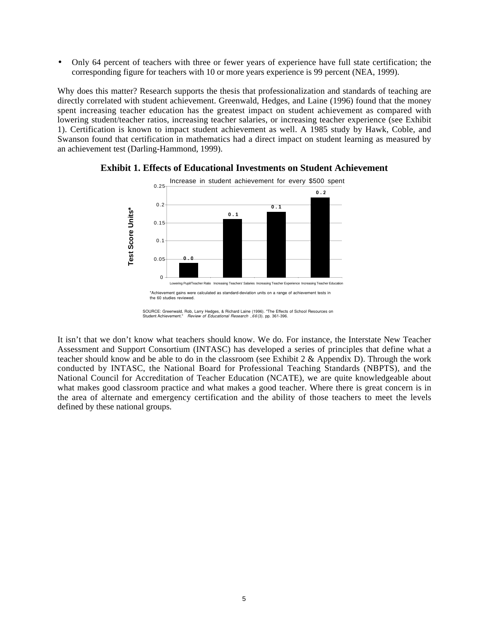• Only 64 percent of teachers with three or fewer years of experience have full state certification; the corresponding figure for teachers with 10 or more years experience is 99 percent (NEA, 1999).

Why does this matter? Research supports the thesis that professionalization and standards of teaching are directly correlated with student achievement. Greenwald, Hedges, and Laine (1996) found that the money spent increasing teacher education has the greatest impact on student achievement as compared with lowering student/teacher ratios, increasing teacher salaries, or increasing teacher experience (see Exhibit 1). Certification is known to impact student achievement as well. A 1985 study by Hawk, Coble, and Swanson found that certification in mathematics had a direct impact on student learning as measured by an achievement test (Darling-Hammond, 1999).



#### **Exhibit 1. Effects of Educational Investments on Student Achievement**

It isn't that we don't know what teachers should know. We do. For instance, the Interstate New Teacher Assessment and Support Consortium (INTASC) has developed a series of principles that define what a teacher should know and be able to do in the classroom (see Exhibit 2 & Appendix D). Through the work conducted by INTASC, the National Board for Professional Teaching Standards (NBPTS), and the National Council for Accreditation of Teacher Education (NCATE), we are quite knowledgeable about what makes good classroom practice and what makes a good teacher. Where there is great concern is in the area of alternate and emergency certification and the ability of those teachers to meet the levels <sup>th</sup><br>
defined by these national groups.<br>
Test Student Achieve<br>
Student Achieve<br>
Student Achieve<br>
Student Achieve<br>
Student Achieve<br>
Student Achieve<br>
Student Achieve<br>
It isn't that we don't know what<br>
Assessment and Support

SOURCE: Greenwald, Rob, Larry Hedges, & Richard Laine (1996). "The Effects of School Resources on<br>Student Achievement." *Review of Educational Research* , 66(3). pp. 361-396.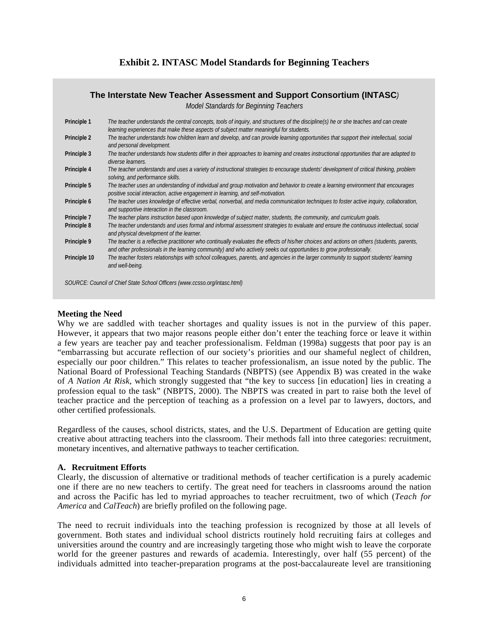### **Exhibit 2. INTASC Model Standards for Beginning Teachers**

|                    | The Interstate New Teacher Assessment and Support Consortium (INTASC)                                                                                                                                                                                              |
|--------------------|--------------------------------------------------------------------------------------------------------------------------------------------------------------------------------------------------------------------------------------------------------------------|
|                    | <b>Model Standards for Beginning Teachers</b>                                                                                                                                                                                                                      |
|                    |                                                                                                                                                                                                                                                                    |
| <b>Principle 1</b> | The teacher understands the central concepts, tools of inquiry, and structures of the discipline(s) he or she teaches and can create<br>learning experiences that make these aspects of subject matter meaningful for students.                                    |
| Principle 2        | The teacher understands how children learn and develop, and can provide learning opportunities that support their intellectual, social<br>and personal development.                                                                                                |
| Principle 3        | The teacher understands how students differ in their approaches to learning and creates instructional opportunities that are adapted to<br>diverse learners.                                                                                                       |
| Principle 4        | The teacher understands and uses a variety of instructional strategies to encourage students' development of critical thinking, problem<br>solving, and performance skills.                                                                                        |
| Principle 5        | The teacher uses an understanding of individual and group motivation and behavior to create a learning environment that encourages<br>positive social interaction, active engagement in learning, and self-motivation.                                             |
| Principle 6        | The teacher uses knowledge of effective verbal, nonverbal, and media communication techniques to foster active inquiry, collaboration,<br>and supportive interaction in the classroom.                                                                             |
| Principle 7        | The teacher plans instruction based upon knowledge of subject matter, students, the community, and curriculum goals.                                                                                                                                               |
| Principle 8        | The teacher understands and uses formal and informal assessment strategies to evaluate and ensure the continuous intellectual, social<br>and physical development of the learner.                                                                                  |
| Principle 9        | The teacher is a reflective practitioner who continually evaluates the effects of his/her choices and actions on others (students, parents,<br>and other professionals in the learning community) and who actively seeks out opportunities to grow professionally. |
| Principle 10       | The teacher fosters relationships with school colleagues, parents, and agencies in the larger community to support students' learning<br>and well-being.                                                                                                           |
|                    |                                                                                                                                                                                                                                                                    |

*SOURCE: Council of Chief State School Officers (www.ccsso.org/intasc.html)*

#### **Meeting the Need**

Why we are saddled with teacher shortages and quality issues is not in the purview of this paper. However, it appears that two major reasons people either don't enter the teaching force or leave it within a few years are teacher pay and teacher professionalism. Feldman (1998a) suggests that poor pay is an "embarrassing but accurate reflection of our society's priorities and our shameful neglect of children, especially our poor children." This relates to teacher professionalism, an issue noted by the public. The National Board of Professional Teaching Standards (NBPTS) (see Appendix B) was created in the wake of *A Nation At Risk*, which strongly suggested that "the key to success [in education] lies in creating a profession equal to the task" (NBPTS, 2000). The NBPTS was created in part to raise both the level of teacher practice and the perception of teaching as a profession on a level par to lawyers, doctors, and other certified professionals.

Regardless of the causes, school districts, states, and the U.S. Department of Education are getting quite creative about attracting teachers into the classroom. Their methods fall into three categories: recruitment, monetary incentives, and alternative pathways to teacher certification.

#### **A. Recruitment Efforts**

Clearly, the discussion of alternative or traditional methods of teacher certification is a purely academic one if there are no new teachers to certify. The great need for teachers in classrooms around the nation and across the Pacific has led to myriad approaches to teacher recruitment, two of which (*Teach for America* and *CalTeach*) are briefly profiled on the following page.

The need to recruit individuals into the teaching profession is recognized by those at all levels of government. Both states and individual school districts routinely hold recruiting fairs at colleges and universities around the country and are increasingly targeting those who might wish to leave the corporate world for the greener pastures and rewards of academia. Interestingly, over half (55 percent) of the individuals admitted into teacher-preparation programs at the post-baccalaureate level are transitioning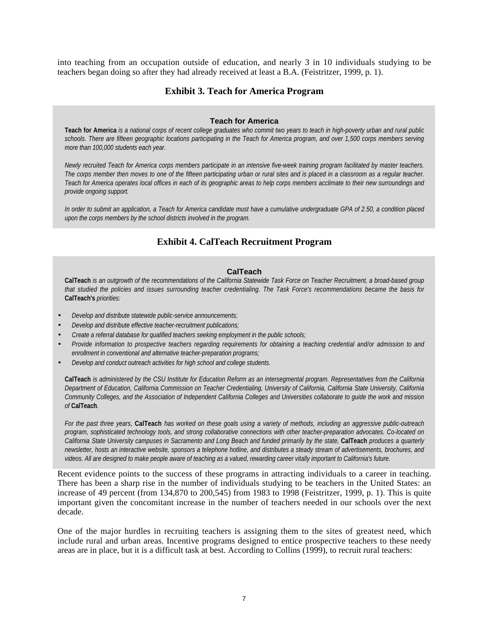into teaching from an occupation outside of education, and nearly 3 in 10 individuals studying to be teachers began doing so after they had already received at least a B.A. (Feistritzer, 1999, p. 1).

### **Exhibit 3. Teach for America Program**

#### **Teach for America**

**Teach for America** *is a national corps of recent college graduates who commit two years to teach in high-poverty urban and rural public schools. There are fifteen geographic locations participating in the Teach for America program, and over 1,500 corps members serving more than 100,000 students each year.*

*Newly recruited Teach for America corps members participate in an intensive five-week training program facilitated by master teachers. The corps member then moves to one of the fifteen participating urban or rural sites and is placed in a classroom as a regular teacher. Teach for America operates local offices in each of its geographic areas to help corps members acclimate to their new surroundings and provide ongoing support.*

*In order to submit an application, a Teach for America candidate must have a cumulative undergraduate GPA of 2.50, a condition placed upon the corps members by the school districts involved in the program.*

### **Exhibit 4. CalTeach Recruitment Program**

#### **CalTeach**

**CalTeach** *is an outgrowth of the recommendations of the California Statewide Task Force on Teacher Recruitment, a broad-based group that studied the policies and issues surrounding teacher credentialing. The Task Force's recommendations became the basis for* **CalTeach's** *priorities:*

- *Develop and distribute statewide public-service announcements;*
- *Develop and distribute effective teacher-recruitment publications;*
- *Create a referral database for qualified teachers seeking employment in the public schools;*
- *Provide information to prospective teachers regarding requirements for obtaining a teaching credential and/or admission to and enrollment in conventional and alternative teacher-preparation programs;*
- *Develop and conduct outreach activities for high school and college students.*

**CalTeach** *is administered by the CSU Institute for Education Reform as an intersegmental program. Representatives from the California Department of Education, California Commission on Teacher Credentialing, University of California, California State University, California Community Colleges, and the Association of Independent California Colleges and Universities collaborate to guide the work and mission of* **CalTeach***.*

*For the past three years,* **CalTeach** *has worked on these goals using a variety of methods, including an aggressive public-outreach program, sophisticated technology tools, and strong collaborative connections with other teacher-preparation advocates. Co-located on California State University campuses in Sacramento and Long Beach and funded primarily by the state,* **CalTeach** *produces a quarterly newsletter, hosts an interactive website, sponsors a telephone hotline, and distributes a steady stream of advertisements, brochures, and videos. All are designed to make people aware of teaching as a valued, rewarding career vitally important to California's future.*

Recent evidence points to the success of these programs in attracting individuals to a career in teaching. There has been a sharp rise in the number of individuals studying to be teachers in the United States: an increase of 49 percent (from 134,870 to 200,545) from 1983 to 1998 (Feistritzer, 1999, p. 1). This is quite important given the concomitant increase in the number of teachers needed in our schools over the next decade.

One of the major hurdles in recruiting teachers is assigning them to the sites of greatest need, which include rural and urban areas. Incentive programs designed to entice prospective teachers to these needy areas are in place, but it is a difficult task at best. According to Collins (1999), to recruit rural teachers: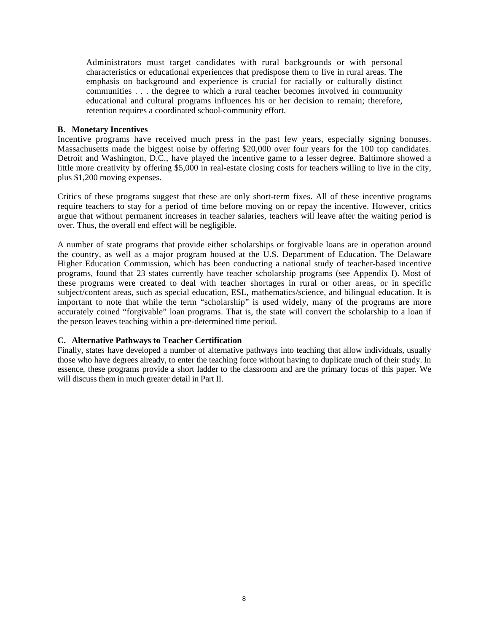Administrators must target candidates with rural backgrounds or with personal characteristics or educational experiences that predispose them to live in rural areas. The emphasis on background and experience is crucial for racially or culturally distinct communities . . . the degree to which a rural teacher becomes involved in community educational and cultural programs influences his or her decision to remain; therefore, retention requires a coordinated school-community effort.

#### **B. Monetary Incentives**

Incentive programs have received much press in the past few years, especially signing bonuses. Massachusetts made the biggest noise by offering \$20,000 over four years for the 100 top candidates. Detroit and Washington, D.C., have played the incentive game to a lesser degree. Baltimore showed a little more creativity by offering \$5,000 in real-estate closing costs for teachers willing to live in the city, plus \$1,200 moving expenses.

Critics of these programs suggest that these are only short-term fixes. All of these incentive programs require teachers to stay for a period of time before moving on or repay the incentive. However, critics argue that without permanent increases in teacher salaries, teachers will leave after the waiting period is over. Thus, the overall end effect will be negligible.

A number of state programs that provide either scholarships or forgivable loans are in operation around the country, as well as a major program housed at the U.S. Department of Education. The Delaware Higher Education Commission, which has been conducting a national study of teacher-based incentive programs, found that 23 states currently have teacher scholarship programs (see Appendix I). Most of these programs were created to deal with teacher shortages in rural or other areas, or in specific subject/content areas, such as special education, ESL, mathematics/science, and bilingual education. It is important to note that while the term "scholarship" is used widely, many of the programs are more accurately coined "forgivable" loan programs. That is, the state will convert the scholarship to a loan if the person leaves teaching within a pre-determined time period.

### **C. Alternative Pathways to Teacher Certification**

Finally, states have developed a number of alternative pathways into teaching that allow individuals, usually those who have degrees already, to enter the teaching force without having to duplicate much of their study. In essence, these programs provide a short ladder to the classroom and are the primary focus of this paper. We will discuss them in much greater detail in Part II.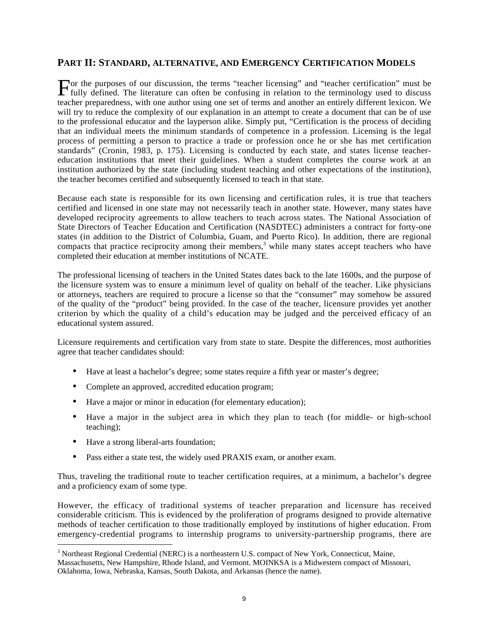### **PART II: STANDARD, ALTERNATIVE, AND EMERGENCY CERTIFICATION MODELS**

For the purposes of our discussion, the terms "teacher licensing" and "teacher certification" must be fully defined. The literature can often be confusing in relation to the terminology used to discuss fully defined. The literature can often be confusing in relation to the terminology used to discuss teacher preparedness, with one author using one set of terms and another an entirely different lexicon. We will try to reduce the complexity of our explanation in an attempt to create a document that can be of use to the professional educator and the layperson alike. Simply put, "Certification is the process of deciding that an individual meets the minimum standards of competence in a profession. Licensing is the legal process of permitting a person to practice a trade or profession once he or she has met certification standards" (Cronin, 1983, p. 175). Licensing is conducted by each state, and states license teachereducation institutions that meet their guidelines. When a student completes the course work at an institution authorized by the state (including student teaching and other expectations of the institution), the teacher becomes certified and subsequently licensed to teach in that state.

Because each state is responsible for its own licensing and certification rules, it is true that teachers certified and licensed in one state may not necessarily teach in another state. However, many states have developed reciprocity agreements to allow teachers to teach across states. The National Association of State Directors of Teacher Education and Certification (NASDTEC) administers a contract for forty-one states (in addition to the District of Columbia, Guam, and Puerto Rico). In addition, there are regional compacts that practice reciprocity among their members,<sup>3</sup> while many states accept teachers who have completed their education at member institutions of NCATE.

The professional licensing of teachers in the United States dates back to the late 1600s, and the purpose of the licensure system was to ensure a minimum level of quality on behalf of the teacher. Like physicians or attorneys, teachers are required to procure a license so that the "consumer" may somehow be assured of the quality of the "product" being provided. In the case of the teacher, licensure provides yet another criterion by which the quality of a child's education may be judged and the perceived efficacy of an educational system assured.

Licensure requirements and certification vary from state to state. Despite the differences, most authorities agree that teacher candidates should:

- Have at least a bachelor's degree; some states require a fifth year or master's degree;
- Complete an approved, accredited education program;
- Have a major or minor in education (for elementary education);
- Have a major in the subject area in which they plan to teach (for middle- or high-school teaching);
- Have a strong liberal-arts foundation;
- Pass either a state test, the widely used PRAXIS exam, or another exam.

Thus, traveling the traditional route to teacher certification requires, at a minimum, a bachelor's degree and a proficiency exam of some type.

However, the efficacy of traditional systems of teacher preparation and licensure has received considerable criticism. This is evidenced by the proliferation of programs designed to provide alternative methods of teacher certification to those traditionally employed by institutions of higher education. From emergency-credential programs to internship programs to university-partnership programs, there are

<sup>&</sup>lt;sup>2</sup><br>3 <sup>3</sup> Northeast Regional Credential (NERC) is a northeastern U.S. compact of New York, Connecticut, Maine,

Massachusetts, New Hampshire, Rhode Island, and Vermont. MOINKSA is a Midwestern compact of Missouri, Oklahoma, Iowa, Nebraska, Kansas, South Dakota, and Arkansas (hence the name).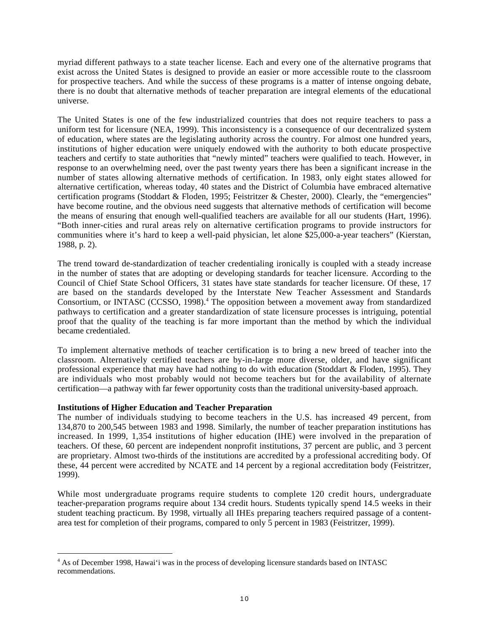myriad different pathways to a state teacher license. Each and every one of the alternative programs that exist across the United States is designed to provide an easier or more accessible route to the classroom for prospective teachers. And while the success of these programs is a matter of intense ongoing debate, there is no doubt that alternative methods of teacher preparation are integral elements of the educational universe.

The United States is one of the few industrialized countries that does not require teachers to pass a uniform test for licensure (NEA, 1999). This inconsistency is a consequence of our decentralized system of education, where states are the legislating authority across the country. For almost one hundred years, institutions of higher education were uniquely endowed with the authority to both educate prospective teachers and certify to state authorities that "newly minted" teachers were qualified to teach. However, in response to an overwhelming need, over the past twenty years there has been a significant increase in the number of states allowing alternative methods of certification. In 1983, only eight states allowed for alternative certification, whereas today, 40 states and the District of Columbia have embraced alternative certification programs (Stoddart & Floden, 1995; Feistritzer & Chester, 2000). Clearly, the "emergencies" have become routine, and the obvious need suggests that alternative methods of certification will become the means of ensuring that enough well-qualified teachers are available for all our students (Hart, 1996). "Both inner-cities and rural areas rely on alternative certification programs to provide instructors for communities where it's hard to keep a well-paid physician, let alone \$25,000-a-year teachers" (Kierstan, 1988, p. 2).

The trend toward de-standardization of teacher credentialing ironically is coupled with a steady increase in the number of states that are adopting or developing standards for teacher licensure. According to the Council of Chief State School Officers, 31 states have state standards for teacher licensure. Of these, 17 are based on the standards developed by the Interstate New Teacher Assessment and Standards Consortium, or INTASC (CCSSO, 1998).<sup>4</sup> The opposition between a movement away from standardized pathways to certification and a greater standardization of state licensure processes is intriguing, potential proof that the quality of the teaching is far more important than the method by which the individual became credentialed.

To implement alternative methods of teacher certification is to bring a new breed of teacher into the classroom. Alternatively certified teachers are by-in-large more diverse, older, and have significant professional experience that may have had nothing to do with education (Stoddart & Floden, 1995). They are individuals who most probably would not become teachers but for the availability of alternate certification—a pathway with far fewer opportunity costs than the traditional university-based approach.

### **Institutions of Higher Education and Teacher Preparation**

The number of individuals studying to become teachers in the U.S. has increased 49 percent, from 134,870 to 200,545 between 1983 and 1998. Similarly, the number of teacher preparation institutions has increased. In 1999, 1,354 institutions of higher education (IHE) were involved in the preparation of teachers. Of these, 60 percent are independent nonprofit institutions, 37 percent are public, and 3 percent are proprietary. Almost two-thirds of the institutions are accredited by a professional accrediting body. Of these, 44 percent were accredited by NCATE and 14 percent by a regional accreditation body (Feistritzer, 1999).

While most undergraduate programs require students to complete 120 credit hours, undergraduate teacher-preparation programs require about 134 credit hours. Students typically spend 14.5 weeks in their student teaching practicum. By 1998, virtually all IHEs preparing teachers required passage of a contentarea test for completion of their programs, compared to only 5 percent in 1983 (Feistritzer, 1999).

 $\frac{1}{4}$ <sup>4</sup> As of December 1998, Hawai'i was in the process of developing licensure standards based on INTASC recommendations.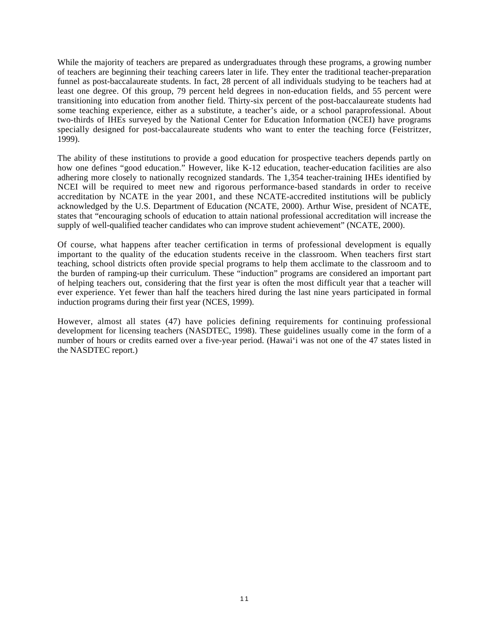While the majority of teachers are prepared as undergraduates through these programs, a growing number of teachers are beginning their teaching careers later in life. They enter the traditional teacher-preparation funnel as post-baccalaureate students. In fact, 28 percent of all individuals studying to be teachers had at least one degree. Of this group, 79 percent held degrees in non-education fields, and 55 percent were transitioning into education from another field. Thirty-six percent of the post-baccalaureate students had some teaching experience, either as a substitute, a teacher's aide, or a school paraprofessional. About two-thirds of IHEs surveyed by the National Center for Education Information (NCEI) have programs specially designed for post-baccalaureate students who want to enter the teaching force (Feistritzer, 1999).

The ability of these institutions to provide a good education for prospective teachers depends partly on how one defines "good education." However, like K-12 education, teacher-education facilities are also adhering more closely to nationally recognized standards. The 1,354 teacher-training IHEs identified by NCEI will be required to meet new and rigorous performance-based standards in order to receive accreditation by NCATE in the year 2001, and these NCATE-accredited institutions will be publicly acknowledged by the U.S. Department of Education (NCATE, 2000). Arthur Wise, president of NCATE, states that "encouraging schools of education to attain national professional accreditation will increase the supply of well-qualified teacher candidates who can improve student achievement" (NCATE, 2000).

Of course, what happens after teacher certification in terms of professional development is equally important to the quality of the education students receive in the classroom. When teachers first start teaching, school districts often provide special programs to help them acclimate to the classroom and to the burden of ramping-up their curriculum. These "induction" programs are considered an important part of helping teachers out, considering that the first year is often the most difficult year that a teacher will ever experience. Yet fewer than half the teachers hired during the last nine years participated in formal induction programs during their first year (NCES, 1999).

However, almost all states (47) have policies defining requirements for continuing professional development for licensing teachers (NASDTEC, 1998). These guidelines usually come in the form of a number of hours or credits earned over a five-year period. (Hawai'i was not one of the 47 states listed in the NASDTEC report.)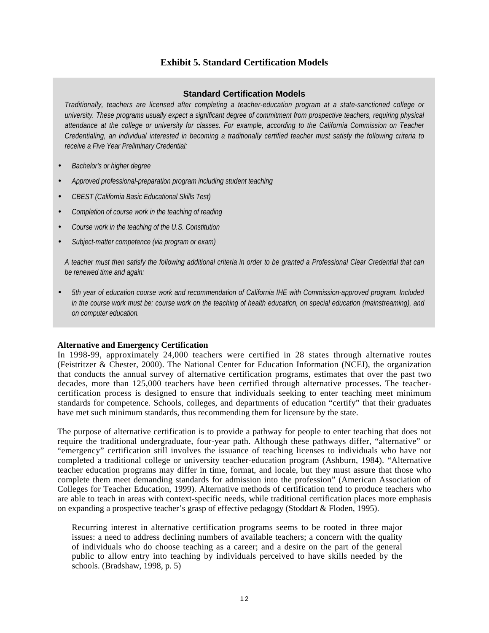### **Exhibit 5. Standard Certification Models**

#### **Standard Certification Models**

*Traditionally, teachers are licensed after completing a teacher-education program at a state-sanctioned college or university. These programs usually expect a significant degree of commitment from prospective teachers, requiring physical attendance at the college or university for classes. For example, according to the California Commission on Teacher Credentialing, an individual interested in becoming a traditionally certified teacher must satisfy the following criteria to receive a Five Year Preliminary Credential:*

- *Bachelor's or higher degree*
- *Approved professional-preparation program including student teaching*
- *CBEST (California Basic Educational Skills Test)*
- *Completion of course work in the teaching of reading*
- *Course work in the teaching of the U.S. Constitution*
- *Subject-matter competence (via program or exam)*

*A teacher must then satisfy the following additional criteria in order to be granted a Professional Clear Credential that can be renewed time and again:*

• *5th year of education course work and recommendation of California IHE with Commission-approved program. Included in the course work must be: course work on the teaching of health education, on special education (mainstreaming), and on computer education.*

#### **Alternative and Emergency Certification**

In 1998-99, approximately 24,000 teachers were certified in 28 states through alternative routes (Feistritzer & Chester, 2000). The National Center for Education Information (NCEI), the organization that conducts the annual survey of alternative certification programs, estimates that over the past two decades, more than 125,000 teachers have been certified through alternative processes. The teachercertification process is designed to ensure that individuals seeking to enter teaching meet minimum standards for competence. Schools, colleges, and departments of education "certify" that their graduates have met such minimum standards, thus recommending them for licensure by the state.

The purpose of alternative certification is to provide a pathway for people to enter teaching that does not require the traditional undergraduate, four-year path. Although these pathways differ, "alternative" or "emergency" certification still involves the issuance of teaching licenses to individuals who have not completed a traditional college or university teacher-education program (Ashburn, 1984). "Alternative teacher education programs may differ in time, format, and locale, but they must assure that those who complete them meet demanding standards for admission into the profession" (American Association of Colleges for Teacher Education, 1999). Alternative methods of certification tend to produce teachers who are able to teach in areas with context-specific needs, while traditional certification places more emphasis on expanding a prospective teacher's grasp of effective pedagogy (Stoddart & Floden, 1995).

Recurring interest in alternative certification programs seems to be rooted in three major issues: a need to address declining numbers of available teachers; a concern with the quality of individuals who do choose teaching as a career; and a desire on the part of the general public to allow entry into teaching by individuals perceived to have skills needed by the schools. (Bradshaw, 1998, p. 5)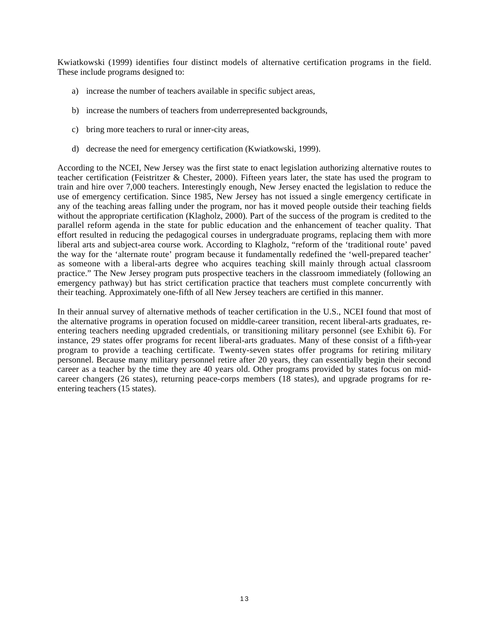Kwiatkowski (1999) identifies four distinct models of alternative certification programs in the field. These include programs designed to:

- a) increase the number of teachers available in specific subject areas,
- b) increase the numbers of teachers from underrepresented backgrounds,
- c) bring more teachers to rural or inner-city areas,
- d) decrease the need for emergency certification (Kwiatkowski, 1999).

According to the NCEI, New Jersey was the first state to enact legislation authorizing alternative routes to teacher certification (Feistritzer & Chester, 2000). Fifteen years later, the state has used the program to train and hire over 7,000 teachers. Interestingly enough, New Jersey enacted the legislation to reduce the use of emergency certification. Since 1985, New Jersey has not issued a single emergency certificate in any of the teaching areas falling under the program, nor has it moved people outside their teaching fields without the appropriate certification (Klagholz, 2000). Part of the success of the program is credited to the parallel reform agenda in the state for public education and the enhancement of teacher quality. That effort resulted in reducing the pedagogical courses in undergraduate programs, replacing them with more liberal arts and subject-area course work. According to Klagholz, "reform of the 'traditional route' paved the way for the 'alternate route' program because it fundamentally redefined the 'well-prepared teacher' as someone with a liberal-arts degree who acquires teaching skill mainly through actual classroom practice." The New Jersey program puts prospective teachers in the classroom immediately (following an emergency pathway) but has strict certification practice that teachers must complete concurrently with their teaching. Approximately one-fifth of all New Jersey teachers are certified in this manner.

In their annual survey of alternative methods of teacher certification in the U.S., NCEI found that most of the alternative programs in operation focused on middle-career transition, recent liberal-arts graduates, reentering teachers needing upgraded credentials, or transitioning military personnel (see Exhibit 6). For instance, 29 states offer programs for recent liberal-arts graduates. Many of these consist of a fifth-year program to provide a teaching certificate. Twenty-seven states offer programs for retiring military personnel. Because many military personnel retire after 20 years, they can essentially begin their second career as a teacher by the time they are 40 years old. Other programs provided by states focus on midcareer changers (26 states), returning peace-corps members (18 states), and upgrade programs for reentering teachers (15 states).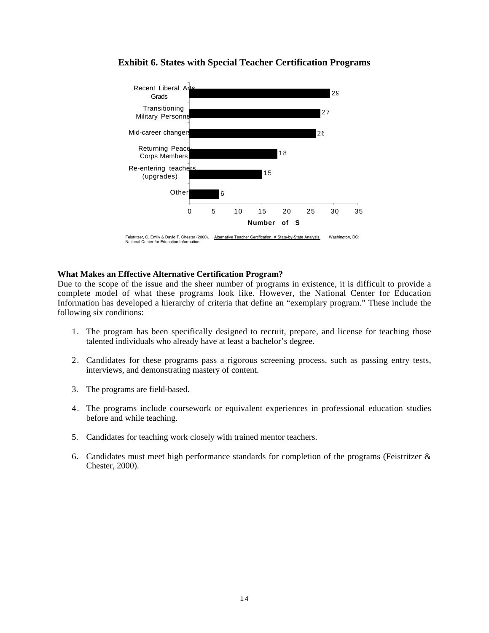

### **Exhibit 6. States with Special Teacher Certification Programs**

#### **What Makes an Effective Alternative Certification Program?**

Due to the scope of the issue and the sheer number of programs in existence, it is difficult to provide a complete model of what these programs look like. However, the National Center for Education Information has developed a hierarchy of criteria that define an "exemplary program." These include the following six conditions:

- 1. The program has been specifically designed to recruit, prepare, and license for teaching those talented individuals who already have at least a bachelor's degree.
- 2. Candidates for these programs pass a rigorous screening process, such as passing entry tests, interviews, and demonstrating mastery of content.
- 3. The programs are field-based.
- 4. The programs include coursework or equivalent experiences in professional education studies before and while teaching.
- 5. Candidates for teaching work closely with trained mentor teachers.
- 6. Candidates must meet high performance standards for completion of the programs (Feistritzer  $\&$ Chester, 2000).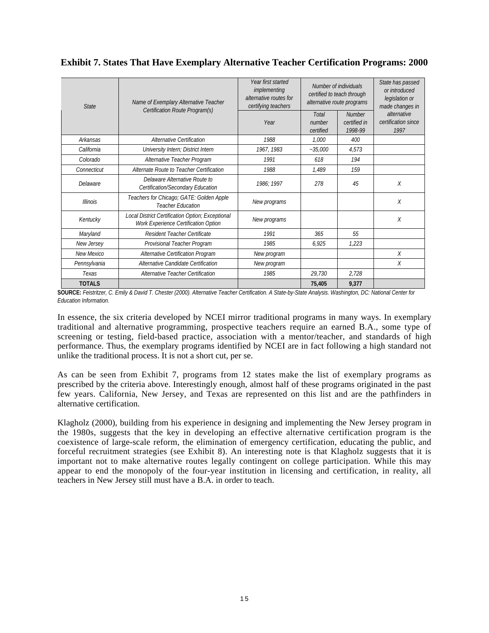| <b>State</b>      | Name of Exemplary Alternative Teacher<br>Certification Route Program(s)                         | Year first started<br>implementing<br>alternative routes for<br>certifying teachers | Number of individuals<br>certified to teach through<br>alternative route programs |                                          | State has passed<br>or introduced<br>legislation or<br>made changes in |
|-------------------|-------------------------------------------------------------------------------------------------|-------------------------------------------------------------------------------------|-----------------------------------------------------------------------------------|------------------------------------------|------------------------------------------------------------------------|
|                   |                                                                                                 | Year                                                                                | <b>Total</b><br>number<br>certified                                               | <b>Number</b><br>certified in<br>1998-99 | alternative<br>certification since<br>1997                             |
| Arkansas          | <b>Alternative Certification</b>                                                                | 1988                                                                                | 1.000                                                                             | 400                                      |                                                                        |
| California        | University Intern; District Intern                                                              | 1967, 1983                                                                          | $-35,000$                                                                         | 4,573                                    |                                                                        |
| Colorado          | Alternative Teacher Program                                                                     | 1991                                                                                | 618                                                                               | 194                                      |                                                                        |
| Connecticut       | Alternate Route to Teacher Certification                                                        | 1988                                                                                | 1.489                                                                             | 159                                      |                                                                        |
| Delaware          | Delaware Alternative Route to<br>Certification/Secondary Education                              | 1986: 1997                                                                          | 278                                                                               | 45                                       | X                                                                      |
| <b>Illinois</b>   | Teachers for Chicago; GATE: Golden Apple<br><b>Teacher Education</b>                            | New programs                                                                        |                                                                                   |                                          | X                                                                      |
| Kentucky          | Local District Certification Option; Exceptional<br><b>Work Experience Certification Option</b> | New programs                                                                        |                                                                                   |                                          | X                                                                      |
| Maryland          | <b>Resident Teacher Certificate</b>                                                             | 1991                                                                                | 365                                                                               | 55                                       |                                                                        |
| New Jersey        | Provisional Teacher Program                                                                     | 1985                                                                                | 6,925                                                                             | 1,223                                    |                                                                        |
| <b>New Mexico</b> | Alternative Certification Program                                                               | New program                                                                         |                                                                                   |                                          | X                                                                      |
| Pennsylvania      | Alternative Candidate Certification                                                             | New program                                                                         |                                                                                   |                                          | X                                                                      |
| Texas             | Alternative Teacher Certification                                                               | 1985                                                                                | 29,730                                                                            | 2,728                                    |                                                                        |
| <b>TOTALS</b>     |                                                                                                 |                                                                                     | 75,405                                                                            | 9,377                                    |                                                                        |

### **Exhibit 7. States That Have Exemplary Alternative Teacher Certification Programs: 2000**

**SOURCE:** *Feistritzer, C. Emily & David T. Chester (2000). Alternative Teacher Certification. A State-by-State Analysis. Washington, DC: National Center for Education Information.*

In essence, the six criteria developed by NCEI mirror traditional programs in many ways. In exemplary traditional and alternative programming, prospective teachers require an earned B.A., some type of screening or testing, field-based practice, association with a mentor/teacher, and standards of high performance. Thus, the exemplary programs identified by NCEI are in fact following a high standard not unlike the traditional process. It is not a short cut, per se.

As can be seen from Exhibit 7, programs from 12 states make the list of exemplary programs as prescribed by the criteria above. Interestingly enough, almost half of these programs originated in the past few years. California, New Jersey, and Texas are represented on this list and are the pathfinders in alternative certification.

Klagholz (2000), building from his experience in designing and implementing the New Jersey program in the 1980s, suggests that the key in developing an effective alternative certification program is the coexistence of large-scale reform, the elimination of emergency certification, educating the public, and forceful recruitment strategies (see Exhibit 8). An interesting note is that Klagholz suggests that it is important not to make alternative routes legally contingent on college participation. While this may appear to end the monopoly of the four-year institution in licensing and certification, in reality, all teachers in New Jersey still must have a B.A. in order to teach.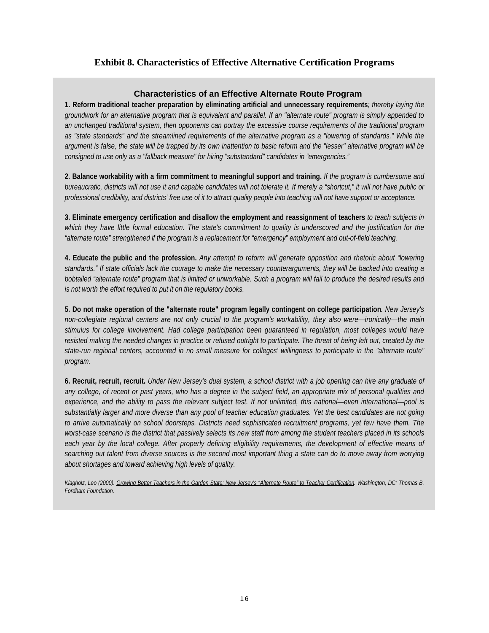### **Exhibit 8. Characteristics of Effective Alternative Certification Programs**

### **Characteristics of an Effective Alternate Route Program**

**1. Reform traditional teacher preparation by eliminating artificial and unnecessary requirements***; thereby laying the groundwork for an alternative program that is equivalent and parallel. If an "alternate route" program is simply appended to an unchanged traditional system, then opponents can portray the excessive course requirements of the traditional program as "state standards" and the streamlined requirements of the alternative program as a "lowering of standards." While the argument is false, the state will be trapped by its own inattention to basic reform and the "lesser" alternative program will be consigned to use only as a "fallback measure" for hiring "substandard" candidates in "emergencies."*

**2. Balance workability with a firm commitment to meaningful support and training.** *If the program is cumbersome and bureaucratic, districts will not use it and capable candidates will not tolerate it. If merely a "shortcut," it will not have public or professional credibility, and districts' free use of it to attract quality people into teaching will not have support or acceptance.*

**3. Eliminate emergency certification and disallow the employment and reassignment of teachers** *to teach subjects in which they have little formal education. The state's commitment to quality is underscored and the justification for the "alternate route" strengthened if the program is a replacement for "emergency" employment and out-of-field teaching.*

**4. Educate the public and the profession.** *Any attempt to reform will generate opposition and rhetoric about "lowering standards." If state officials lack the courage to make the necessary counterarguments, they will be backed into creating a bobtailed "alternate route" program that is limited or unworkable. Such a program will fail to produce the desired results and is not worth the effort required to put it on the regulatory books.*

**5. Do not make operation of the "alternate route" program legally contingent on college participation***. New Jersey's non-collegiate regional centers are not only crucial to the program's workability, they also were—ironically—the main stimulus for college involvement. Had college participation been guaranteed in regulation, most colleges would have resisted making the needed changes in practice or refused outright to participate. The threat of being left out, created by the state-run regional centers, accounted in no small measure for colleges' willingness to participate in the "alternate route" program.*

**6. Recruit, recruit, recruit.** *Under New Jersey's dual system, a school district with a job opening can hire any graduate of any college, of recent or past years, who has a degree in the subject field, an appropriate mix of personal qualities and experience, and the ability to pass the relevant subject test. If not unlimited, this national—even international—pool is substantially larger and more diverse than any pool of teacher education graduates. Yet the best candidates are not going to arrive automatically on school doorsteps. Districts need sophisticated recruitment programs, yet few have them. The worst-case scenario is the district that passively selects its new staff from among the student teachers placed in its schools each year by the local college. After properly defining eligibility requirements, the development of effective means of searching out talent from diverse sources is the second most important thing a state can do to move away from worrying about shortages and toward achieving high levels of quality.*

*Klagholz, Leo (2000). Growing Better Teachers in the Garden State: New Jersey's "Alternate Route" to Teacher Certification. Washington, DC: Thomas B. Fordham Foundation.*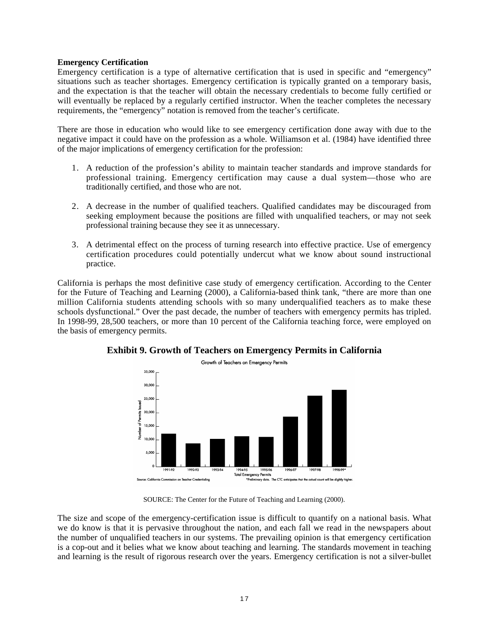#### **Emergency Certification**

Emergency certification is a type of alternative certification that is used in specific and "emergency" situations such as teacher shortages. Emergency certification is typically granted on a temporary basis, and the expectation is that the teacher will obtain the necessary credentials to become fully certified or will eventually be replaced by a regularly certified instructor. When the teacher completes the necessary requirements, the "emergency" notation is removed from the teacher's certificate.

There are those in education who would like to see emergency certification done away with due to the negative impact it could have on the profession as a whole. Williamson et al. (1984) have identified three of the major implications of emergency certification for the profession:

- 1. A reduction of the profession's ability to maintain teacher standards and improve standards for professional training. Emergency certification may cause a dual system—those who are traditionally certified, and those who are not.
- 2. A decrease in the number of qualified teachers. Qualified candidates may be discouraged from seeking employment because the positions are filled with unqualified teachers, or may not seek professional training because they see it as unnecessary.
- 3. A detrimental effect on the process of turning research into effective practice. Use of emergency certification procedures could potentially undercut what we know about sound instructional practice.

California is perhaps the most definitive case study of emergency certification. According to the Center for the Future of Teaching and Learning (2000), a California-based think tank, "there are more than one million California students attending schools with so many underqualified teachers as to make these schools dysfunctional." Over the past decade, the number of teachers with emergency permits has tripled. In 1998-99, 28,500 teachers, or more than 10 percent of the California teaching force, were employed on the basis of emergency permits.



### **Exhibit 9. Growth of Teachers on Emergency Permits in California**

SOURCE: The Center for the Future of Teaching and Learning (2000).

The size and scope of the emergency-certification issue is difficult to quantify on a national basis. What we do know is that it is pervasive throughout the nation, and each fall we read in the newspapers about the number of unqualified teachers in our systems. The prevailing opinion is that emergency certification is a cop-out and it belies what we know about teaching and learning. The standards movement in teaching and learning is the result of rigorous research over the years. Emergency certification is not a silver-bullet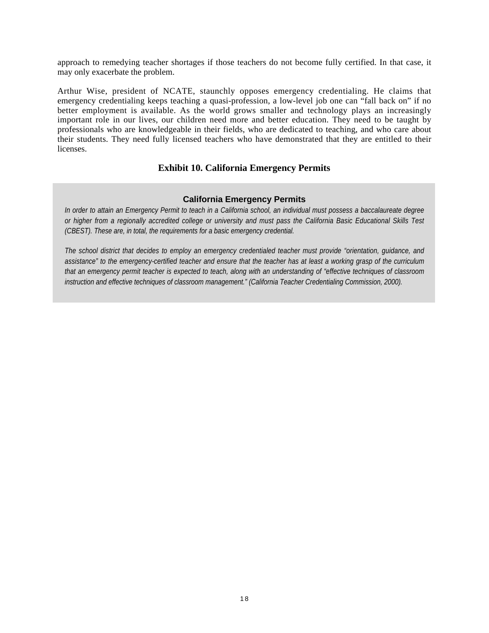approach to remedying teacher shortages if those teachers do not become fully certified. In that case, it may only exacerbate the problem.

Arthur Wise, president of NCATE, staunchly opposes emergency credentialing. He claims that emergency credentialing keeps teaching a quasi-profession, a low-level job one can "fall back on" if no better employment is available. As the world grows smaller and technology plays an increasingly important role in our lives, our children need more and better education. They need to be taught by professionals who are knowledgeable in their fields, who are dedicated to teaching, and who care about their students. They need fully licensed teachers who have demonstrated that they are entitled to their licenses.

### **Exhibit 10. California Emergency Permits**

#### **California Emergency Permits**

*In order to attain an Emergency Permit to teach in a California school, an individual must possess a baccalaureate degree or higher from a regionally accredited college or university and must pass the California Basic Educational Skills Test (CBEST). These are, in total, the requirements for a basic emergency credential.*

*The school district that decides to employ an emergency credentialed teacher must provide "orientation, guidance, and assistance" to the emergency-certified teacher and ensure that the teacher has at least a working grasp of the curriculum that an emergency permit teacher is expected to teach, along with an understanding of "effective techniques of classroom instruction and effective techniques of classroom management." (California Teacher Credentialing Commission, 2000).*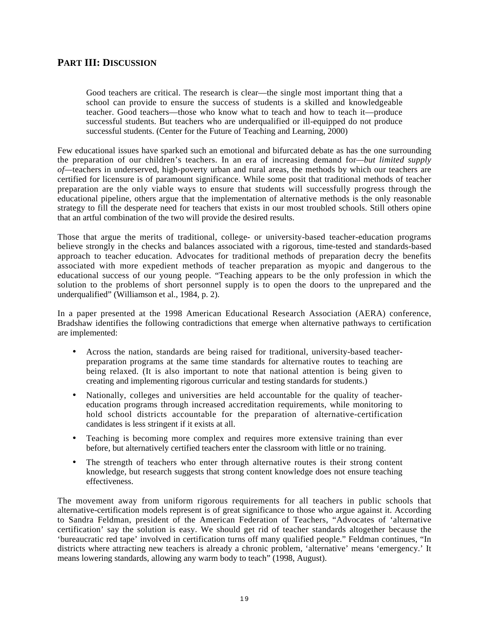### **PART III: DISCUSSION**

Good teachers are critical. The research is clear—the single most important thing that a school can provide to ensure the success of students is a skilled and knowledgeable teacher. Good teachers—those who know what to teach and how to teach it—produce successful students. But teachers who are underqualified or ill-equipped do not produce successful students. (Center for the Future of Teaching and Learning, 2000)

Few educational issues have sparked such an emotional and bifurcated debate as has the one surrounding the preparation of our children's teachers. In an era of increasing demand for*—but limited supply of—*teachers in underserved, high-poverty urban and rural areas, the methods by which our teachers are certified for licensure is of paramount significance. While some posit that traditional methods of teacher preparation are the only viable ways to ensure that students will successfully progress through the educational pipeline, others argue that the implementation of alternative methods is the only reasonable strategy to fill the desperate need for teachers that exists in our most troubled schools. Still others opine that an artful combination of the two will provide the desired results.

Those that argue the merits of traditional, college- or university-based teacher-education programs believe strongly in the checks and balances associated with a rigorous, time-tested and standards-based approach to teacher education. Advocates for traditional methods of preparation decry the benefits associated with more expedient methods of teacher preparation as myopic and dangerous to the educational success of our young people. "Teaching appears to be the only profession in which the solution to the problems of short personnel supply is to open the doors to the unprepared and the underqualified" (Williamson et al., 1984, p. 2).

In a paper presented at the 1998 American Educational Research Association (AERA) conference, Bradshaw identifies the following contradictions that emerge when alternative pathways to certification are implemented:

- Across the nation, standards are being raised for traditional, university-based teacherpreparation programs at the same time standards for alternative routes to teaching are being relaxed. (It is also important to note that national attention is being given to creating and implementing rigorous curricular and testing standards for students.)
- Nationally, colleges and universities are held accountable for the quality of teachereducation programs through increased accreditation requirements, while monitoring to hold school districts accountable for the preparation of alternative-certification candidates is less stringent if it exists at all.
- Teaching is becoming more complex and requires more extensive training than ever before, but alternatively certified teachers enter the classroom with little or no training.
- The strength of teachers who enter through alternative routes is their strong content knowledge, but research suggests that strong content knowledge does not ensure teaching effectiveness.

The movement away from uniform rigorous requirements for all teachers in public schools that alternative-certification models represent is of great significance to those who argue against it. According to Sandra Feldman, president of the American Federation of Teachers, "Advocates of 'alternative certification' say the solution is easy. We should get rid of teacher standards altogether because the 'bureaucratic red tape' involved in certification turns off many qualified people." Feldman continues, "In districts where attracting new teachers is already a chronic problem, 'alternative' means 'emergency.' It means lowering standards, allowing any warm body to teach" (1998, August).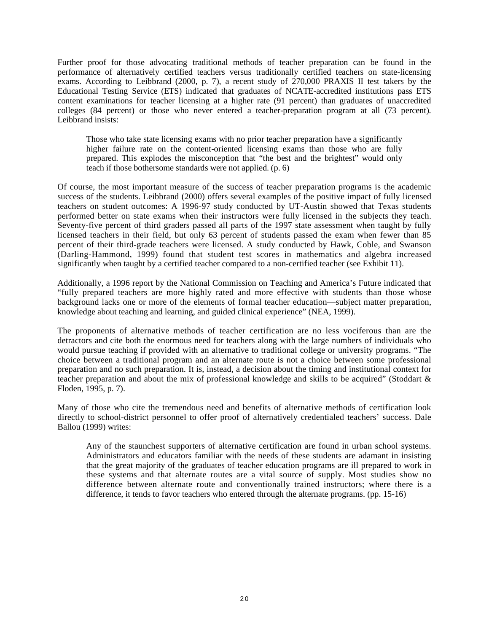Further proof for those advocating traditional methods of teacher preparation can be found in the performance of alternatively certified teachers versus traditionally certified teachers on state-licensing exams. According to Leibbrand (2000, p. 7), a recent study of  $270,000$  PRAXIS II test takers by the Educational Testing Service (ETS) indicated that graduates of NCATE-accredited institutions pass ETS content examinations for teacher licensing at a higher rate (91 percent) than graduates of unaccredited colleges (84 percent) or those who never entered a teacher-preparation program at all (73 percent). Leibbrand insists:

Those who take state licensing exams with no prior teacher preparation have a significantly higher failure rate on the content-oriented licensing exams than those who are fully prepared. This explodes the misconception that "the best and the brightest" would only teach if those both error standards were not applied.  $(p, 6)$ 

Of course, the most important measure of the success of teacher preparation programs is the academic success of the students. Leibbrand (2000) offers several examples of the positive impact of fully licensed teachers on student outcomes: A 1996-97 study conducted by UT-Austin showed that Texas students performed better on state exams when their instructors were fully licensed in the subjects they teach. Seventy-five percent of third graders passed all parts of the 1997 state assessment when taught by fully licensed teachers in their field, but only 63 percent of students passed the exam when fewer than 85 percent of their third-grade teachers were licensed. A study conducted by Hawk, Coble, and Swanson (Darling-Hammond, 1999) found that student test scores in mathematics and algebra increased significantly when taught by a certified teacher compared to a non-certified teacher (see Exhibit 11).

Additionally, a 1996 report by the National Commission on Teaching and America's Future indicated that "fully prepared teachers are more highly rated and more effective with students than those whose background lacks one or more of the elements of formal teacher education—subject matter preparation, knowledge about teaching and learning, and guided clinical experience" (NEA, 1999).

The proponents of alternative methods of teacher certification are no less vociferous than are the detractors and cite both the enormous need for teachers along with the large numbers of individuals who would pursue teaching if provided with an alternative to traditional college or university programs. "The choice between a traditional program and an alternate route is not a choice between some professional preparation and no such preparation. It is, instead, a decision about the timing and institutional context for teacher preparation and about the mix of professional knowledge and skills to be acquired" (Stoddart & Floden, 1995, p. 7).

Many of those who cite the tremendous need and benefits of alternative methods of certification look directly to school-district personnel to offer proof of alternatively credentialed teachers' success. Dale Ballou (1999) writes:

Any of the staunchest supporters of alternative certification are found in urban school systems. Administrators and educators familiar with the needs of these students are adamant in insisting that the great majority of the graduates of teacher education programs are ill prepared to work in these systems and that alternate routes are a vital source of supply. Most studies show no difference between alternate route and conventionally trained instructors; where there is a difference, it tends to favor teachers who entered through the alternate programs. (pp. 15-16)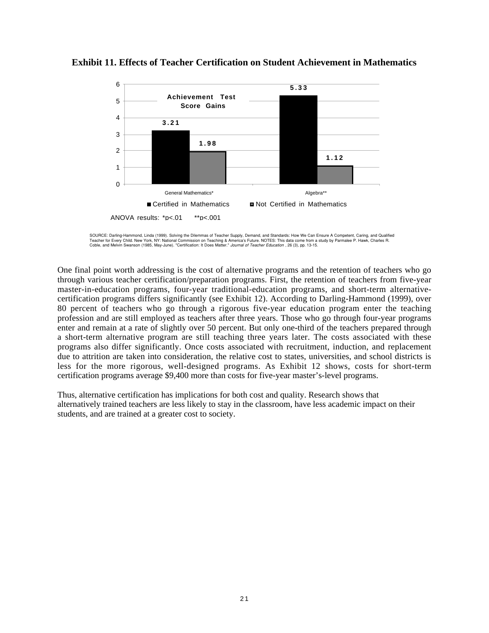

**Exhibit 11. Effects of Teacher Certification on Student Achievement in Mathematics**

One final point worth addressing is the cost of alternative programs and the retention of teachers who go through various teacher certification/preparation programs. First, the retention of teachers from five-year master-in-education programs, four-year traditional-education programs, and short-term alternativecertification programs differs significantly (see Exhibit 12). According to Darling-Hammond (1999), over 80 percent of teachers who go through a rigorous five-year education program enter the teaching profession and are still employed as teachers after three years. Those who go through four-year programs enter and remain at a rate of slightly over 50 percent. But only one-third of the teachers prepared through a short-term alternative program are still teaching three years later. The costs associated with these programs also differ significantly. Once costs associated with recruitment, induction, and replacement due to attrition are taken into consideration, the relative cost to states, universities, and school districts is less for the more rigorous, well-designed programs. As Exhibit 12 shows, costs for short-term certification programs average \$9,400 more than costs for five-year master's-level programs.

Thus, alternative certification has implications for both cost and quality. Research shows that alternatively trained teachers are less likely to stay in the classroom, have less academic impact on their students, and are trained at a greater cost to society.

SOURCE: Darling-Hammond, Linda (1999). Solving the Dilemmas of Teacher Supply, Demand, and Standards: How We Can Ensure A Competent, Caring, and Qualified<br>Teacher for Every Child. New York, NY: National Commission on Teach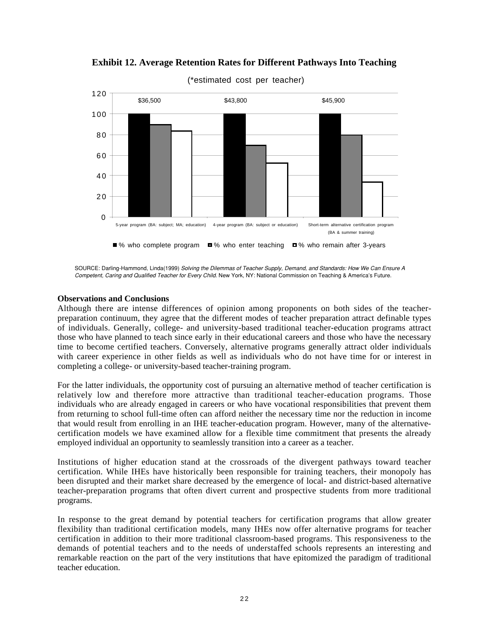

**Exhibit 12. Average Retention Rates for Different Pathways Into Teaching**

SOURCE: Darling-Hammond, Linda(1999) Solving the Dilemmas of Teacher Supply, Demand, and Standards: How We Can Ensure A Competent, Caring and Qualified Teacher for Every Child. New York, NY: National Commission on Teaching & America's Future.

#### **Observations and Conclusions**

Although there are intense differences of opinion among proponents on both sides of the teacherpreparation continuum, they agree that the different modes of teacher preparation attract definable types of individuals. Generally, college- and university-based traditional teacher-education programs attract those who have planned to teach since early in their educational careers and those who have the necessary time to become certified teachers. Conversely, alternative programs generally attract older individuals with career experience in other fields as well as individuals who do not have time for or interest in completing a college- or university-based teacher-training program.

For the latter individuals, the opportunity cost of pursuing an alternative method of teacher certification is relatively low and therefore more attractive than traditional teacher-education programs. Those individuals who are already engaged in careers or who have vocational responsibilities that prevent them from returning to school full-time often can afford neither the necessary time nor the reduction in income that would result from enrolling in an IHE teacher-education program. However, many of the alternativecertification models we have examined allow for a flexible time commitment that presents the already employed individual an opportunity to seamlessly transition into a career as a teacher.

Institutions of higher education stand at the crossroads of the divergent pathways toward teacher certification. While IHEs have historically been responsible for training teachers, their monopoly has been disrupted and their market share decreased by the emergence of local- and district-based alternative teacher-preparation programs that often divert current and prospective students from more traditional programs.

In response to the great demand by potential teachers for certification programs that allow greater flexibility than traditional certification models, many IHEs now offer alternative programs for teacher certification in addition to their more traditional classroom-based programs. This responsiveness to the demands of potential teachers and to the needs of understaffed schools represents an interesting and remarkable reaction on the part of the very institutions that have epitomized the paradigm of traditional teacher education.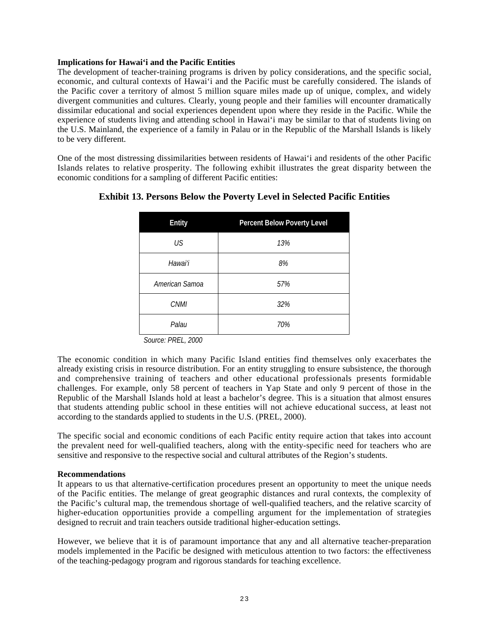#### **Implications for Hawai'i and the Pacific Entities**

The development of teacher-training programs is driven by policy considerations, and the specific social, economic, and cultural contexts of Hawai'i and the Pacific must be carefully considered. The islands of the Pacific cover a territory of almost 5 million square miles made up of unique, complex, and widely divergent communities and cultures. Clearly, young people and their families will encounter dramatically dissimilar educational and social experiences dependent upon where they reside in the Pacific. While the experience of students living and attending school in Hawai'i may be similar to that of students living on the U.S. Mainland, the experience of a family in Palau or in the Republic of the Marshall Islands is likely to be very different.

One of the most distressing dissimilarities between residents of Hawai'i and residents of the other Pacific Islands relates to relative prosperity. The following exhibit illustrates the great disparity between the economic conditions for a sampling of different Pacific entities:

| <b>Entity</b>  | <b>Percent Below Poverty Level</b> |
|----------------|------------------------------------|
| US             | 13%                                |
| Hawai'i        | 8%                                 |
| American Samoa | 57%                                |
| <b>CNMI</b>    | 32%                                |
| Palau          | 70%                                |

#### **Exhibit 13. Persons Below the Poverty Level in Selected Pacific Entities**

*Source: PREL, 2000*

The economic condition in which many Pacific Island entities find themselves only exacerbates the already existing crisis in resource distribution. For an entity struggling to ensure subsistence, the thorough and comprehensive training of teachers and other educational professionals presents formidable challenges. For example, only 58 percent of teachers in Yap State and only 9 percent of those in the Republic of the Marshall Islands hold at least a bachelor's degree. This is a situation that almost ensures that students attending public school in these entities will not achieve educational success, at least not according to the standards applied to students in the U.S. (PREL, 2000).

The specific social and economic conditions of each Pacific entity require action that takes into account the prevalent need for well-qualified teachers, along with the entity-specific need for teachers who are sensitive and responsive to the respective social and cultural attributes of the Region's students.

#### **Recommendations**

It appears to us that alternative-certification procedures present an opportunity to meet the unique needs of the Pacific entities. The melange of great geographic distances and rural contexts, the complexity of the Pacific's cultural map, the tremendous shortage of well-qualified teachers, and the relative scarcity of higher-education opportunities provide a compelling argument for the implementation of strategies designed to recruit and train teachers outside traditional higher-education settings.

However, we believe that it is of paramount importance that any and all alternative teacher-preparation models implemented in the Pacific be designed with meticulous attention to two factors: the effectiveness of the teaching-pedagogy program and rigorous standards for teaching excellence.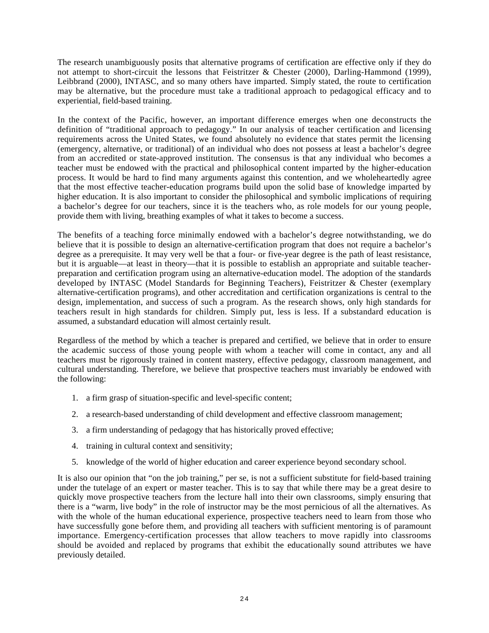The research unambiguously posits that alternative programs of certification are effective only if they do not attempt to short-circuit the lessons that Feistritzer & Chester (2000), Darling-Hammond (1999), Leibbrand (2000), INTASC, and so many others have imparted. Simply stated, the route to certification may be alternative, but the procedure must take a traditional approach to pedagogical efficacy and to experiential, field-based training.

In the context of the Pacific, however, an important difference emerges when one deconstructs the definition of "traditional approach to pedagogy." In our analysis of teacher certification and licensing requirements across the United States, we found absolutely no evidence that states permit the licensing (emergency, alternative, or traditional) of an individual who does not possess at least a bachelor's degree from an accredited or state-approved institution. The consensus is that any individual who becomes a teacher must be endowed with the practical and philosophical content imparted by the higher-education process. It would be hard to find many arguments against this contention, and we wholeheartedly agree that the most effective teacher-education programs build upon the solid base of knowledge imparted by higher education. It is also important to consider the philosophical and symbolic implications of requiring a bachelor's degree for our teachers, since it is the teachers who, as role models for our young people, provide them with living, breathing examples of what it takes to become a success.

The benefits of a teaching force minimally endowed with a bachelor's degree notwithstanding, we do believe that it is possible to design an alternative-certification program that does not require a bachelor's degree as a prerequisite. It may very well be that a four- or five-year degree is the path of least resistance, but it is arguable—at least in theory—that it is possible to establish an appropriate and suitable teacherpreparation and certification program using an alternative-education model. The adoption of the standards developed by INTASC (Model Standards for Beginning Teachers), Feistritzer & Chester (exemplary alternative-certification programs), and other accreditation and certification organizations is central to the design, implementation, and success of such a program. As the research shows, only high standards for teachers result in high standards for children. Simply put, less is less. If a substandard education is assumed, a substandard education will almost certainly result.

Regardless of the method by which a teacher is prepared and certified, we believe that in order to ensure the academic success of those young people with whom a teacher will come in contact, any and all teachers must be rigorously trained in content mastery, effective pedagogy, classroom management, and cultural understanding. Therefore, we believe that prospective teachers must invariably be endowed with the following:

- 1. a firm grasp of situation-specific and level-specific content;
- 2. a research-based understanding of child development and effective classroom management;
- 3. a firm understanding of pedagogy that has historically proved effective;
- 4. training in cultural context and sensitivity;
- 5. knowledge of the world of higher education and career experience beyond secondary school.

It is also our opinion that "on the job training," per se, is not a sufficient substitute for field-based training under the tutelage of an expert or master teacher. This is to say that while there may be a great desire to quickly move prospective teachers from the lecture hall into their own classrooms, simply ensuring that there is a "warm, live body" in the role of instructor may be the most pernicious of all the alternatives. As with the whole of the human educational experience, prospective teachers need to learn from those who have successfully gone before them, and providing all teachers with sufficient mentoring is of paramount importance. Emergency-certification processes that allow teachers to move rapidly into classrooms should be avoided and replaced by programs that exhibit the educationally sound attributes we have previously detailed.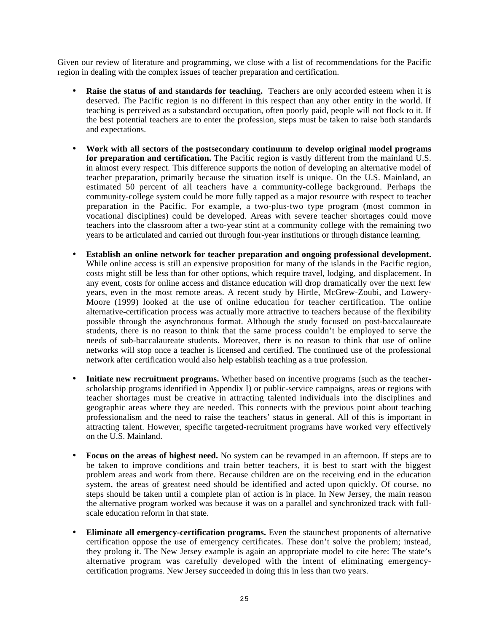Given our review of literature and programming, we close with a list of recommendations for the Pacific region in dealing with the complex issues of teacher preparation and certification.

- **Raise the status of and standards for teaching.** Teachers are only accorded esteem when it is deserved. The Pacific region is no different in this respect than any other entity in the world. If teaching is perceived as a substandard occupation, often poorly paid, people will not flock to it. If the best potential teachers are to enter the profession, steps must be taken to raise both standards and expectations.
- **Work with all sectors of the postsecondary continuum to develop original model programs for preparation and certification.** The Pacific region is vastly different from the mainland U.S. in almost every respect. This difference supports the notion of developing an alternative model of teacher preparation, primarily because the situation itself is unique. On the U.S. Mainland, an estimated 50 percent of all teachers have a community-college background. Perhaps the community-college system could be more fully tapped as a major resource with respect to teacher preparation in the Pacific. For example, a two-plus-two type program (most common in vocational disciplines) could be developed. Areas with severe teacher shortages could move teachers into the classroom after a two-year stint at a community college with the remaining two years to be articulated and carried out through four-year institutions or through distance learning.
- **Establish an online network for teacher preparation and ongoing professional development.** While online access is still an expensive proposition for many of the islands in the Pacific region, costs might still be less than for other options, which require travel, lodging, and displacement. In any event, costs for online access and distance education will drop dramatically over the next few years, even in the most remote areas. A recent study by Hirtle, McGrew-Zoubi, and Lowery-Moore (1999) looked at the use of online education for teacher certification. The online alternative-certification process was actually more attractive to teachers because of the flexibility possible through the asynchronous format. Although the study focused on post-baccalaureate students, there is no reason to think that the same process couldn't be employed to serve the needs of sub-baccalaureate students. Moreover, there is no reason to think that use of online networks will stop once a teacher is licensed and certified. The continued use of the professional network after certification would also help establish teaching as a true profession.
- **Initiate new recruitment programs.** Whether based on incentive programs (such as the teacherscholarship programs identified in Appendix I) or public-service campaigns, areas or regions with teacher shortages must be creative in attracting talented individuals into the disciplines and geographic areas where they are needed. This connects with the previous point about teaching professionalism and the need to raise the teachers' status in general. All of this is important in attracting talent. However, specific targeted-recruitment programs have worked very effectively on the U.S. Mainland.
- Focus on the areas of highest need. No system can be revamped in an afternoon. If steps are to be taken to improve conditions and train better teachers, it is best to start with the biggest problem areas and work from there. Because children are on the receiving end in the education system, the areas of greatest need should be identified and acted upon quickly. Of course, no steps should be taken until a complete plan of action is in place. In New Jersey, the main reason the alternative program worked was because it was on a parallel and synchronized track with fullscale education reform in that state.
- **Eliminate all emergency-certification programs.** Even the staunchest proponents of alternative certification oppose the use of emergency certificates. These don't solve the problem; instead, they prolong it. The New Jersey example is again an appropriate model to cite here: The state's alternative program was carefully developed with the intent of eliminating emergencycertification programs. New Jersey succeeded in doing this in less than two years.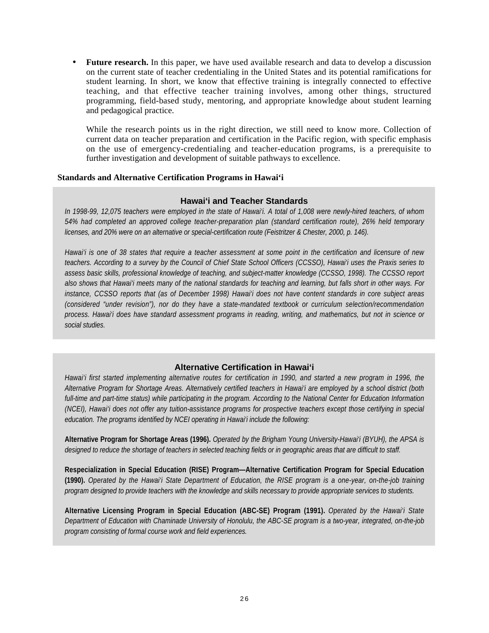• **Future research.** In this paper, we have used available research and data to develop a discussion on the current state of teacher credentialing in the United States and its potential ramifications for student learning. In short, we know that effective training is integrally connected to effective teaching, and that effective teacher training involves, among other things, structured programming, field-based study, mentoring, and appropriate knowledge about student learning and pedagogical practice.

While the research points us in the right direction, we still need to know more. Collection of current data on teacher preparation and certification in the Pacific region, with specific emphasis on the use of emergency-credentialing and teacher-education programs, is a prerequisite to further investigation and development of suitable pathways to excellence.

#### **Standards and Alternative Certification Programs in Hawai'i**

#### **Hawai'i and Teacher Standards**

*In 1998-99, 12,075 teachers were employed in the state of Hawai'i. A total of 1,008 were newly-hired teachers, of whom 54% had completed an approved college teacher-preparation plan (standard certification route), 26% held temporary licenses, and 20% were on an alternative or special-certification route (Feistritzer & Chester, 2000, p. 146).*

*Hawai'i is one of 38 states that require a teacher assessment at some point in the certification and licensure of new teachers. According to a survey by the Council of Chief State School Officers (CCSSO), Hawai'i uses the Praxis series to assess basic skills, professional knowledge of teaching, and subject-matter knowledge (CCSSO, 1998). The CCSSO report also shows that Hawai'i meets many of the national standards for teaching and learning, but falls short in other ways. For instance, CCSSO reports that (as of December 1998) Hawai'i does not have content standards in core subject areas (considered "under revision"), nor do they have a state-mandated textbook or curriculum selection/recommendation process. Hawai'i does have standard assessment programs in reading, writing, and mathematics, but not in science or social studies.*

### **Alternative Certification in Hawai'i**

*Hawai'i first started implementing alternative routes for certification in 1990, and started a new program in 1996, the Alternative Program for Shortage Areas. Alternatively certified teachers in Hawai'i are employed by a school district (both full-time and part-time status) while participating in the program. According to the National Center for Education Information (NCEI), Hawai'i does not offer any tuition-assistance programs for prospective teachers except those certifying in special education. The programs identified by NCEI operating in Hawai'i include the following:*

**Alternative Program for Shortage Areas (1996).** *Operated by the Brigham Young University-Hawai'i (BYUH), the APSA is designed to reduce the shortage of teachers in selected teaching fields or in geographic areas that are difficult to staff.*

**Respecialization in Special Education (RISE) Program—Alternative Certification Program for Special Education (1990).** *Operated by the Hawai'i State Department of Education, the RISE program is a one-year, on-the-job training program designed to provide teachers with the knowledge and skills necessary to provide appropriate services to students.*

**Alternative Licensing Program in Special Education (ABC-SE) Program (1991).** *Operated by the Hawai'i State Department of Education with Chaminade University of Honolulu, the ABC-SE program is a two-year, integrated, on-the-job program consisting of formal course work and field experiences.*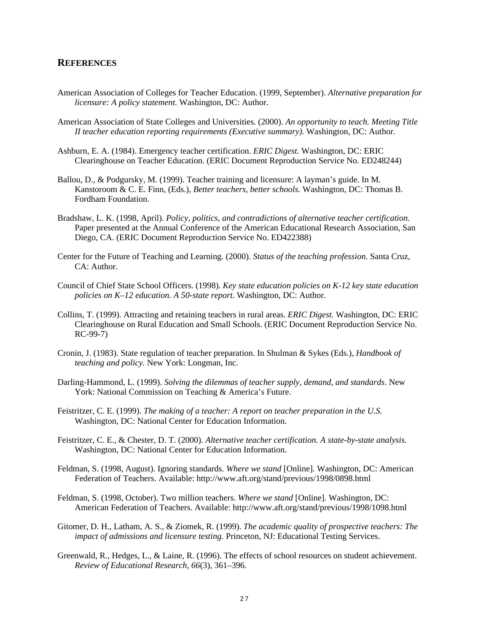#### **REFERENCES**

- American Association of Colleges for Teacher Education. (1999, September). *Alternative preparation for licensure: A policy statement.* Washington, DC: Author.
- American Association of State Colleges and Universities. (2000). *An opportunity to teach. Meeting Title II teacher education reporting requirements (Executive summary).* Washington, DC: Author.
- Ashburn, E. A. (1984). Emergency teacher certification. *ERIC Digest.* Washington, DC: ERIC Clearinghouse on Teacher Education. (ERIC Document Reproduction Service No. ED248244)
- Ballou, D., & Podgursky, M. (1999). Teacher training and licensure: A layman's guide. In M. Kanstoroom & C. E. Finn, (Eds.), *Better teachers, better schools.* Washington, DC: Thomas B. Fordham Foundation.
- Bradshaw, L. K. (1998, April). *Policy, politics, and contradictions of alternative teacher certification.* Paper presented at the Annual Conference of the American Educational Research Association, San Diego, CA. (ERIC Document Reproduction Service No. ED422388)
- Center for the Future of Teaching and Learning. (2000). *Status of the teaching profession.* Santa Cruz,  $CA:$  Author.
- Council of Chief State School Officers. (1998). *Key state education policies on K-12 key state education policies on K–12 education. A 50-state report.* Washington, DC: Author.
- Collins, T. (1999). Attracting and retaining teachers in rural areas. *ERIC Digest.* Washington, DC: ERIC Clearinghouse on Rural Education and Small Schools. (ERIC Document Reproduction Service No. RC-99-7)
- Cronin, J. (1983). State regulation of teacher preparation. In Shulman & Sykes (Eds.), *Handbook of teaching and policy.* New York: Longman, Inc.
- Darling-Hammond, L. (1999). *Solving the dilemmas of teacher supply, demand, and standards*. New York: National Commission on Teaching & America's Future.
- Feistritzer, C. E. (1999). *The making of a teacher: A report on teacher preparation in the U.S.* Washington, DC: National Center for Education Information.
- Feistritzer, C. E., & Chester, D. T. (2000). *Alternative teacher certification. A state-by-state analysis.* Washington, DC: National Center for Education Information.
- Feldman, S. (1998, August). Ignoring standards. *Where we stand* [Online]*.* Washington, DC: American Federation of Teachers. Available: http://www.aft.org/stand/previous/1998/0898.html
- Feldman, S. (1998, October). Two million teachers. *Where we stand* [Online]*.* Washington, DC: American Federation of Teachers. Available: http://www.aft.org/stand/previous/1998/1098.html
- Gitomer, D. H., Latham, A. S., & Ziomek, R. (1999). *The academic quality of prospective teachers: The impact of admissions and licensure testing.* Princeton, NJ: Educational Testing Services.
- Greenwald, R., Hedges, L., & Laine, R. (1996). The effects of school resources on student achievement. *Review of Educational Research, 66*(3), 361–396.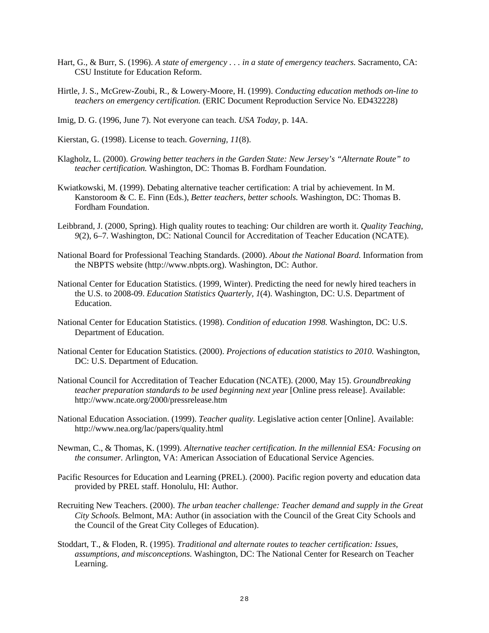- Hart, G., & Burr, S. (1996). *A state of emergency . . . in a state of emergency teachers.* Sacramento, CA: CSU Institute for Education Reform.
- Hirtle, J. S., McGrew-Zoubi, R., & Lowery-Moore, H. (1999). *Conducting education methods on-line to teachers on emergency certification.* (ERIC Document Reproduction Service No. ED432228)
- Imig, D. G. (1996, June 7). Not everyone can teach. *USA Today,* p. 14A.
- Kierstan, G. (1998). License to teach. *Governing, 11*(8).
- Klagholz, L. (2000). *Growing better teachers in the Garden State: New Jersey's "Alternate Route" to teacher certification.* Washington, DC: Thomas B. Fordham Foundation.
- Kwiatkowski, M. (1999). Debating alternative teacher certification: A trial by achievement. In M. Kanstoroom & C. E. Finn (Eds.), *Better teachers, better schools.* Washington, DC: Thomas B. Fordham Foundation.
- Leibbrand, J. (2000, Spring). High quality routes to teaching: Our children are worth it. *Quality Teaching, 9*(2), 6–7. Washington, DC: National Council for Accreditation of Teacher Education (NCATE).
- National Board for Professional Teaching Standards. (2000). *About the National Board.* Information from the NBPTS website (http://www.nbpts.org). Washington, DC: Author.
- National Center for Education Statistics. (1999, Winter). Predicting the need for newly hired teachers in the U.S. to 2008-09. *Education Statistics Quarterly, 1*(4). Washington, DC: U.S. Department of Education.
- National Center for Education Statistics. (1998). *Condition of education 1998.* Washington, DC: U.S. Department of Education.
- National Center for Education Statistics. (2000). *Projections of education statistics to 2010.* Washington, DC: U.S. Department of Education.
- National Council for Accreditation of Teacher Education (NCATE). (2000, May 15). *Groundbreaking teacher preparation standards to be used beginning next year* [Online press release]. Available: http://www.ncate.org/2000/pressrelease.htm
- National Education Association. (1999). *Teacher quality.* Legislative action center [Online]. Available: http://www.nea.org/lac/papers/quality.html
- Newman, C., & Thomas, K. (1999). *Alternative teacher certification. In the millennial ESA: Focusing on the consumer.* Arlington, VA: American Association of Educational Service Agencies.
- Pacific Resources for Education and Learning (PREL). (2000). Pacific region poverty and education data provided by PREL staff. Honolulu, HI: Author.
- Recruiting New Teachers. (2000). *The urban teacher challenge: Teacher demand and supply in the Great City Schools.* Belmont, MA: Author (in association with the Council of the Great City Schools and the Council of the Great City Colleges of Education).
- Stoddart, T., & Floden, R. (1995). *Traditional and alternate routes to teacher certification: Issues, assumptions, and misconceptions.* Washington, DC: The National Center for Research on Teacher Learning.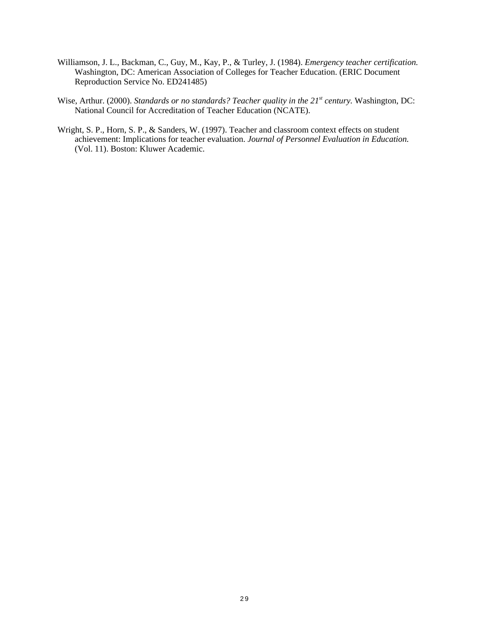- Williamson, J. L., Backman, C., Guy, M., Kay, P., & Turley, J. (1984). *Emergency teacher certification.* Washington, DC: American Association of Colleges for Teacher Education. (ERIC Document Reproduction Service No. ED241485)
- Wise, Arthur. (2000). *Standards or no standards? Teacher quality in the 21<sup>st</sup> century.* Washington, DC: National Council for Accreditation of Teacher Education (NCATE).
- Wright, S. P., Horn, S. P., & Sanders, W. (1997). Teacher and classroom context effects on student achievement: Implications for teacher evaluation. *Journal of Personnel Evaluation in Education.* (Vol. 11). Boston: Kluwer Academic.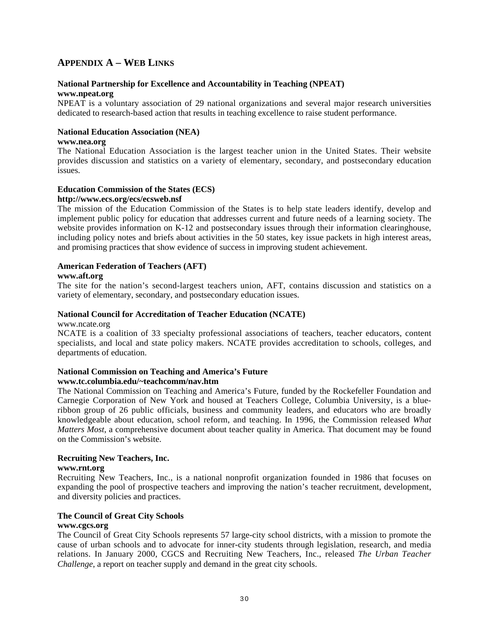### **APPENDIX A – WEB LINKS**

## **National Partnership for Excellence and Accountability in Teaching (NPEAT)**

### **www.npeat.org**

NPEAT is a voluntary association of 29 national organizations and several major research universities dedicated to research-based action that results in teaching excellence to raise student performance.

### **National Education Association (NEA)**

#### **www.nea.org**

The National Education Association is the largest teacher union in the United States. Their website provides discussion and statistics on a variety of elementary, secondary, and postsecondary education issues.

### **Education Commission of the States (ECS)**

### **http://www.ecs.org/ecs/ecsweb.nsf**

The mission of the Education Commission of the States is to help state leaders identify, develop and implement public policy for education that addresses current and future needs of a learning society. The website provides information on K-12 and postsecondary issues through their information clearinghouse, including policy notes and briefs about activities in the 50 states, key issue packets in high interest areas, and promising practices that show evidence of success in improving student achievement.

### **American Federation of Teachers (AFT)**

#### **www.aft.org**

The site for the nation's second-largest teachers union, AFT, contains discussion and statistics on a variety of elementary, secondary, and postsecondary education issues.

#### **National Council for Accreditation of Teacher Education (NCATE)**

#### www.ncate.org

NCATE is a coalition of 33 specialty professional associations of teachers, teacher educators, content specialists, and local and state policy makers. NCATE provides accreditation to schools, colleges, and departments of education.

#### **National Commission on Teaching and America's Future www.tc.columbia.edu/~teachcomm/nav.htm**

The National Commission on Teaching and America's Future, funded by the Rockefeller Foundation and Carnegie Corporation of New York and housed at Teachers College, Columbia University, is a blueribbon group of 26 public officials, business and community leaders, and educators who are broadly knowledgeable about education, school reform, and teaching. In 1996, the Commission released *What Matters Most*, a comprehensive document about teacher quality in America. That document may be found on the Commission's website.

### **Recruiting New Teachers, Inc.**

#### **www.rnt.org**

Recruiting New Teachers, Inc., is a national nonprofit organization founded in 1986 that focuses on expanding the pool of prospective teachers and improving the nation's teacher recruitment, development, and diversity policies and practices.

### **The Council of Great City Schools**

#### **www.cgcs.org**

The Council of Great City Schools represents 57 large-city school districts, with a mission to promote the cause of urban schools and to advocate for inner-city students through legislation, research, and media relations. In January 2000, CGCS and Recruiting New Teachers, Inc., released *The Urban Teacher Challenge*, a report on teacher supply and demand in the great city schools.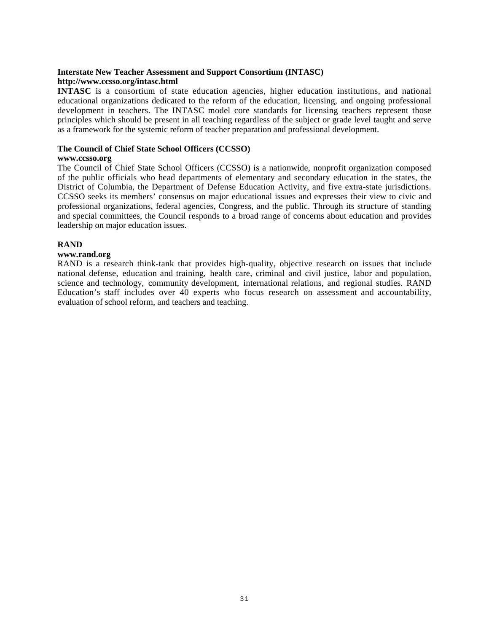### **Interstate New Teacher Assessment and Support Consortium (INTASC) http://www.ccsso.org/intasc.html**

**INTASC** is a consortium of state education agencies, higher education institutions, and national educational organizations dedicated to the reform of the education, licensing, and ongoing professional development in teachers. The INTASC model core standards for licensing teachers represent those principles which should be present in all teaching regardless of the subject or grade level taught and serve as a framework for the systemic reform of teacher preparation and professional development.

#### **The Council of Chief State School Officers (CCSSO)**

#### **www.ccsso.org**

The Council of Chief State School Officers (CCSSO) is a nationwide, nonprofit organization composed of the public officials who head departments of elementary and secondary education in the states, the District of Columbia, the Department of Defense Education Activity, and five extra-state jurisdictions. CCSSO seeks its members' consensus on major educational issues and expresses their view to civic and professional organizations, federal agencies, Congress, and the public. Through its structure of standing and special committees, the Council responds to a broad range of concerns about education and provides leadership on major education issues.

### **RAND**

### **www.rand.org**

RAND is a research think-tank that provides high-quality, objective research on issues that include national defense, education and training, health care, criminal and civil justice, labor and population, science and technology, community development, international relations, and regional studies. RAND Education's staff includes over 40 experts who focus research on assessment and accountability, evaluation of school reform, and teachers and teaching.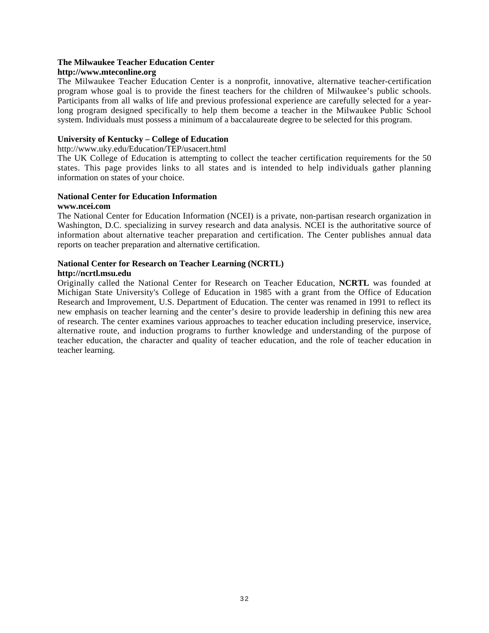#### **The Milwaukee Teacher Education Center**

#### **http://www.mteconline.org**

The Milwaukee Teacher Education Center is a nonprofit, innovative, alternative teacher-certification program whose goal is to provide the finest teachers for the children of Milwaukee's public schools. Participants from all walks of life and previous professional experience are carefully selected for a yearlong program designed specifically to help them become a teacher in the Milwaukee Public School system. Individuals must possess a minimum of a baccalaureate degree to be selected for this program.

#### **University of Kentucky – College of Education**

http://www.uky.edu/Education/TEP/usacert.html

The UK College of Education is attempting to collect the teacher certification requirements for the 50 states. This page provides links to all states and is intended to help individuals gather planning information on states of your choice.

### **National Center for Education Information**

#### **www.ncei.com**

The National Center for Education Information (NCEI) is a private, non-partisan research organization in Washington, D.C. specializing in survey research and data analysis. NCEI is the authoritative source of information about alternative teacher preparation and certification. The Center publishes annual data reports on teacher preparation and alternative certification.

#### **National Center for Research on Teacher Learning (NCRTL) http://ncrtl.msu.edu**

Originally called the National Center for Research on Teacher Education, **NCRTL** was founded at Michigan State University's College of Education in 1985 with a grant from the Office of Education Research and Improvement, U.S. Department of Education. The center was renamed in 1991 to reflect its new emphasis on teacher learning and the center's desire to provide leadership in defining this new area of research. The center examines various approaches to teacher education including preservice, inservice, alternative route, and induction programs to further knowledge and understanding of the purpose of teacher education, the character and quality of teacher education, and the role of teacher education in teacher learning.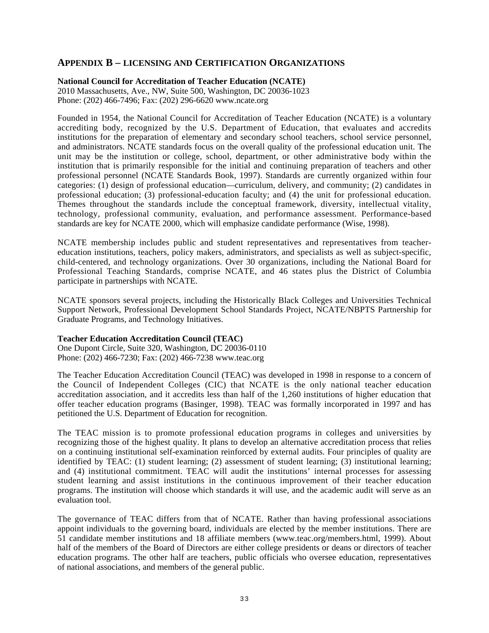### **APPENDIX B – LICENSING AND CERTIFICATION ORGANIZATIONS**

#### **National Council for Accreditation of Teacher Education (NCATE)**

2010 Massachusetts, Ave., NW, Suite 500, Washington, DC 20036-1023 Phone: (202) 466-7496; Fax: (202) 296-6620 www.ncate.org

Founded in 1954, the National Council for Accreditation of Teacher Education (NCATE) is a voluntary accrediting body, recognized by the U.S. Department of Education, that evaluates and accredits institutions for the preparation of elementary and secondary school teachers, school service personnel, and administrators. NCATE standards focus on the overall quality of the professional education unit. The unit may be the institution or college, school, department, or other administrative body within the institution that is primarily responsible for the initial and continuing preparation of teachers and other professional personnel (NCATE Standards Book, 1997). Standards are currently organized within four categories: (1) design of professional education—curriculum, delivery, and community; (2) candidates in professional education; (3) professional-education faculty; and (4) the unit for professional education. Themes throughout the standards include the conceptual framework, diversity, intellectual vitality, technology, professional community, evaluation, and performance assessment. Performance-based standards are key for NCATE 2000, which will emphasize candidate performance (Wise, 1998).

NCATE membership includes public and student representatives and representatives from teachereducation institutions, teachers, policy makers, administrators, and specialists as well as subject-specific, child-centered, and technology organizations. Over 30 organizations, including the National Board for Professional Teaching Standards, comprise NCATE, and 46 states plus the District of Columbia participate in partnerships with NCATE.

NCATE sponsors several projects, including the Historically Black Colleges and Universities Technical Support Network, Professional Development School Standards Project, NCATE/NBPTS Partnership for Graduate Programs, and Technology Initiatives.

#### **Teacher Education Accreditation Council (TEAC)**

One Dupont Circle, Suite 320, Washington, DC 20036-0110 Phone: (202) 466-7230; Fax: (202) 466-7238 www.teac.org

The Teacher Education Accreditation Council (TEAC) was developed in 1998 in response to a concern of the Council of Independent Colleges (CIC) that NCATE is the only national teacher education accreditation association, and it accredits less than half of the 1,260 institutions of higher education that offer teacher education programs (Basinger, 1998). TEAC was formally incorporated in 1997 and has petitioned the U.S. Department of Education for recognition.

The TEAC mission is to promote professional education programs in colleges and universities by recognizing those of the highest quality. It plans to develop an alternative accreditation process that relies on a continuing institutional self-examination reinforced by external audits. Four principles of quality are identified by TEAC: (1) student learning; (2) assessment of student learning; (3) institutional learning; and (4) institutional commitment. TEAC will audit the institutions' internal processes for assessing student learning and assist institutions in the continuous improvement of their teacher education programs. The institution will choose which standards it will use, and the academic audit will serve as an evaluation tool.

The governance of TEAC differs from that of NCATE. Rather than having professional associations appoint individuals to the governing board, individuals are elected by the member institutions. There are 51 candidate member institutions and 18 affiliate members (www.teac.org/members.html, 1999). About half of the members of the Board of Directors are either college presidents or deans or directors of teacher education programs. The other half are teachers, public officials who oversee education, representatives of national associations, and members of the general public.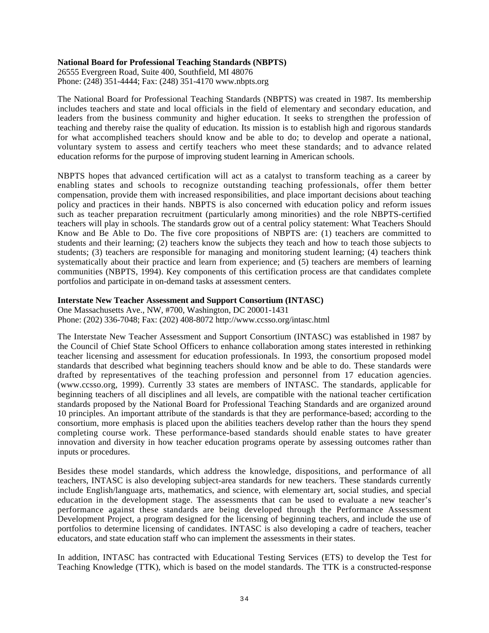#### **National Board for Professional Teaching Standards (NBPTS)**

26555 Evergreen Road, Suite 400, Southfield, MI 48076 Phone: (248) 351-4444; Fax: (248) 351-4170 www.nbpts.org

The National Board for Professional Teaching Standards (NBPTS) was created in 1987. Its membership includes teachers and state and local officials in the field of elementary and secondary education, and leaders from the business community and higher education. It seeks to strengthen the profession of teaching and thereby raise the quality of education. Its mission is to establish high and rigorous standards for what accomplished teachers should know and be able to do; to develop and operate a national, voluntary system to assess and certify teachers who meet these standards; and to advance related education reforms for the purpose of improving student learning in American schools.

NBPTS hopes that advanced certification will act as a catalyst to transform teaching as a career by enabling states and schools to recognize outstanding teaching professionals, offer them better compensation, provide them with increased responsibilities, and place important decisions about teaching policy and practices in their hands. NBPTS is also concerned with education policy and reform issues such as teacher preparation recruitment (particularly among minorities) and the role NBPTS-certified teachers will play in schools. The standards grow out of a central policy statement: What Teachers Should Know and Be Able to Do. The five core propositions of NBPTS are: (1) teachers are committed to students and their learning; (2) teachers know the subjects they teach and how to teach those subjects to students; (3) teachers are responsible for managing and monitoring student learning; (4) teachers think systematically about their practice and learn from experience; and (5) teachers are members of learning communities (NBPTS, 1994). Key components of this certification process are that candidates complete portfolios and participate in on-demand tasks at assessment centers.

#### **Interstate New Teacher Assessment and Support Consortium (INTASC)**

One Massachusetts Ave., NW, #700, Washington, DC 20001-1431 Phone: (202) 336-7048; Fax: (202) 408-8072 http://www.ccsso.org/intasc.html

The Interstate New Teacher Assessment and Support Consortium (INTASC) was established in 1987 by the Council of Chief State School Officers to enhance collaboration among states interested in rethinking teacher licensing and assessment for education professionals. In 1993, the consortium proposed model standards that described what beginning teachers should know and be able to do. These standards were drafted by representatives of the teaching profession and personnel from 17 education agencies. (www.ccsso.org, 1999). Currently 33 states are members of INTASC. The standards, applicable for beginning teachers of all disciplines and all levels, are compatible with the national teacher certification standards proposed by the National Board for Professional Teaching Standards and are organized around 10 principles. An important attribute of the standards is that they are performance-based; according to the consortium, more emphasis is placed upon the abilities teachers develop rather than the hours they spend completing course work. These performance-based standards should enable states to have greater innovation and diversity in how teacher education programs operate by assessing outcomes rather than inputs or procedures.

Besides these model standards, which address the knowledge, dispositions, and performance of all teachers, INTASC is also developing subject-area standards for new teachers. These standards currently include English/language arts, mathematics, and science, with elementary art, social studies, and special education in the development stage. The assessments that can be used to evaluate a new teacher's performance against these standards are being developed through the Performance Assessment Development Project, a program designed for the licensing of beginning teachers, and include the use of portfolios to determine licensing of candidates. INTASC is also developing a cadre of teachers, teacher educators, and state education staff who can implement the assessments in their states.

In addition, INTASC has contracted with Educational Testing Services (ETS) to develop the Test for Teaching Knowledge (TTK), which is based on the model standards. The TTK is a constructed-response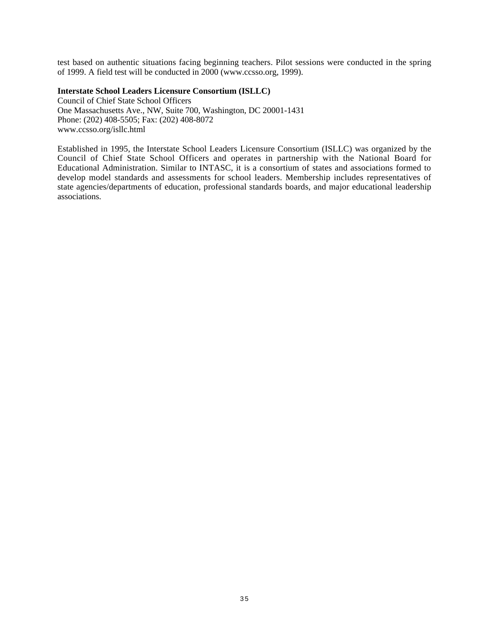test based on authentic situations facing beginning teachers. Pilot sessions were conducted in the spring of 1999. A field test will be conducted in 2000 (www.ccsso.org, 1999).

#### **Interstate School Leaders Licensure Consortium (ISLLC)**

Council of Chief State School Officers One Massachusetts Ave., NW, Suite 700, Washington, DC 20001-1431 Phone: (202) 408-5505; Fax: (202) 408-8072 www.ccsso.org/isllc.html

Established in 1995, the Interstate School Leaders Licensure Consortium (ISLLC) was organized by the Council of Chief State School Officers and operates in partnership with the National Board for Educational Administration. Similar to INTASC, it is a consortium of states and associations formed to develop model standards and assessments for school leaders. Membership includes representatives of state agencies/departments of education, professional standards boards, and major educational leadership associations.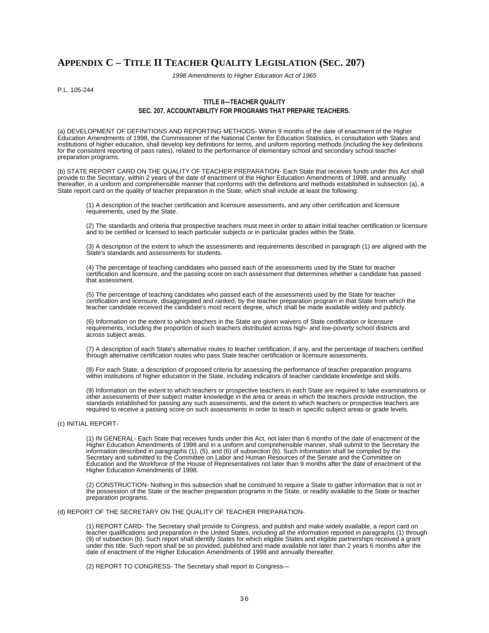### **APPENDIX C – TITLE II TEACHER QUALITY LEGISLATION (SEC. 207)**

1998 Amendments to Higher Education Act of 1965

P.L. 105-244

#### **TITLE II—TEACHER QUALITY SEC. 207. ACCOUNTABILITY FOR PROGRAMS THAT PREPARE TEACHERS.**

(a) DEVELOPMENT OF DEFINITIONS AND REPORTING METHODS- Within 9 months of the date of enactment of the Higher Education Amendments of 1998, the Commissioner of the National Center for Education Statistics, in consultation with States and<br>institutions of higher education, shall develop key definitions for terms, and uniform reporti preparation programs.

(b) STATE REPORT CARD ON THE QUALITY OF TEACHER PREPARATION- Each State that receives funds under this Act shall provide to the Secretary, within 2 years of the date of enactment of the Higher Education Amendments of 1998, and annually<br>thereafter, in a uniform and comprehensible manner that conforms with the definitions and methods e State report card on the quality of teacher preparation in the State, which shall include at least the following:

(1) A description of the teacher certification and licensure assessments, and any other certification and licensure requirements, used by the State.

(2) The standards and criteria that prospective teachers must meet in order to attain initial teacher certification or licensure and to be certified or licensed to teach particular subjects or in particular grades within the State.

(3) A description of the extent to which the assessments and requirements described in paragraph (1) are aligned with the State's standards and assessments for students.

(4) The percentage of teaching candidates who passed each of the assessments used by the State for teacher certification and licensure, and the passing score on each assessment that determines whether a candidate has passed that assessment.

(5) The percentage of teaching candidates who passed each of the assessments used by the State for teacher certification and licensure, disaggregated and ranked, by the teacher preparation program in that State from which the<br>teacher candidate received the candidate's most recent degree, which shall be made available widely and

(6) Information on the extent to which teachers in the State are given waivers of State certification or licensure requirements, including the proportion of such teachers distributed across high- and low-poverty school districts and across subject areas.

(7) A description of each State's alternative routes to teacher certification, if any, and the percentage of teachers certified<br>through alternative certification routes who pass State teacher certification or licensure ass

(8) For each State, a description of proposed criteria for assessing the performance of teacher preparation programs within institutions of higher education in the State, including indicators of teacher candidate knowledge and skills.

(9) Information on the extent to which teachers or prospective teachers in each State are required to take examinations or other assessments of their subject matter knowledge in the area or areas in which the teachers provide instruction, the standards established for passing any such assessments, and the extent to which teachers or prospective teachers are required to receive a passing score on such assessments in order to teach in specific subject areas or grade levels.

#### (c) INITIAL REPORT-

(1) IN GENERAL- Each State that receives funds under this Act, not later than 6 months of the date of enactment of the Higher Education Amendments of 1998 and in a uniform and comprehensible manner, shall submit to the Secretary the information described in paragraphs (1), (5), and (6) of subsection (b). Such information shall be compiled by the Secretary and submitted to the Committee on Labor and Human Resources of the Senate and the Committee on Education and the Workforce of the House of Representatives not later than 9 months after the date of enactment of the Higher Education Amendments of 1998.

(2) CONSTRUCTION- Nothing in this subsection shall be construed to require a State to gather information that is not in the possession of the State or the teacher preparation programs in the State, or readily available to the State or teacher preparation programs.

#### (d) REPORT OF THE SECRETARY ON THE QUALITY OF TEACHER PREPARATION-

(1) REPORT CARD- The Secretary shall provide to Congress, and publish and make widely available, a report card on<br>teacher qualifications and preparation in the United States, including all the information reported in parag under this title. Such report shall be so provided, published and made available not later than 2 years 6 months after the date of enactment of the Higher Education Amendments of 1998 and annually thereafter.

(2) REPORT TO CONGRESS- The Secretary shall report to Congress—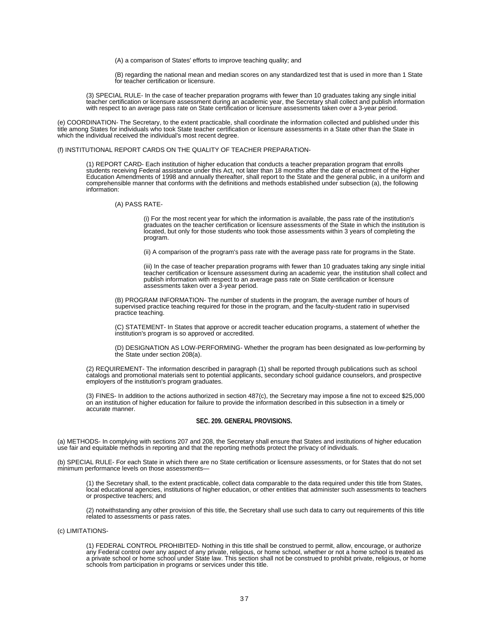(A) a comparison of States' efforts to improve teaching quality; and

(B) regarding the national mean and median scores on any standardized test that is used in more than 1 State for teacher certification or licensure.

(3) SPECIAL RULE- In the case of teacher preparation programs with fewer than 10 graduates taking any single initial<br>teacher certification or licensure assessment during an academic year, the Secretary shall collect and pu

(e) COORDINATION- The Secretary, to the extent practicable, shall coordinate the information collected and published under this title among States for individuals who took State teacher certification or licensure assessments in a State other than the State in which the individual received the individual's most recent degree.

#### (f) INSTITUTIONAL REPORT CARDS ON THE QUALITY OF TEACHER PREPARATION-

(1) REPORT CARD- Each institution of higher education that conducts a teacher preparation program that enrolls students receiving Federal assistance under this Act, not later than 18 months after the date of enactment of the Higher Education Amendments of 1998 and annually thereafter, shall report to the State and the general public, in a uniform and comprehensible manner that conforms with the definitions and methods established under subsection (a), the following information:

#### (A) PASS RATE-

(i) For the most recent year for which the information is available, the pass rate of the institution's graduates on the teacher certification or licensure assessments of the State in which the institution is located, but only for those students who took those assessments within 3 years of completing the program.

(ii) A comparison of the program's pass rate with the average pass rate for programs in the State.

(iii) In the case of teacher preparation programs with fewer than 10 graduates taking any single initial teacher certification or licensure assessment during an academic year, the institution shall collect and publish information with respect to an average pass rate on State certification or licensure assessments taken over a 3-year period.

(B) PROGRAM INFORMATION- The number of students in the program, the average number of hours of supervised practice teaching required for those in the program, and the faculty-student ratio in supervised practice teaching.

(C) STATEMENT- In States that approve or accredit teacher education programs, a statement of whether the institution's program is so approved or accredited.

(D) DESIGNATION AS LOW-PERFORMING- Whether the program has been designated as low-performing by the State under section 208(a).

(2) REQUIREMENT- The information described in paragraph (1) shall be reported through publications such as school catalogs and promotional materials sent to potential applicants, secondary school guidance counselors, and prospective employers of the institution's program graduates.

(3) FINES- In addition to the actions authorized in section 487(c), the Secretary may impose a fine not to exceed \$25,000 on an institution of higher education for failure to provide the information described in this subsection in a timely or accurate manner.

#### **SEC. 209. GENERAL PROVISIONS.**

(a) METHODS- In complying with sections 207 and 208, the Secretary shall ensure that States and institutions of higher education use fair and equitable methods in reporting and that the reporting methods protect the privacy of individuals.

(b) SPECIAL RULE- For each State in which there are no State certification or licensure assessments, or for States that do not set minimum performance levels on those assessments—

(1) the Secretary shall, to the extent practicable, collect data comparable to the data required under this title from States, local educational agencies, institutions of higher education, or other entities that administer such assessments to teachers or prospective teachers; and

(2) notwithstanding any other provision of this title, the Secretary shall use such data to carry out requirements of this title related to assessments or pass rates.

(c) LIMITATIONS-

(1) FEDERAL CONTROL PROHIBITED- Nothing in this title shall be construed to permit, allow, encourage, or authorize<br>any Federal control over any aspect of any private, religious, or home school, whether or not a home school schools from participation in programs or services under this title.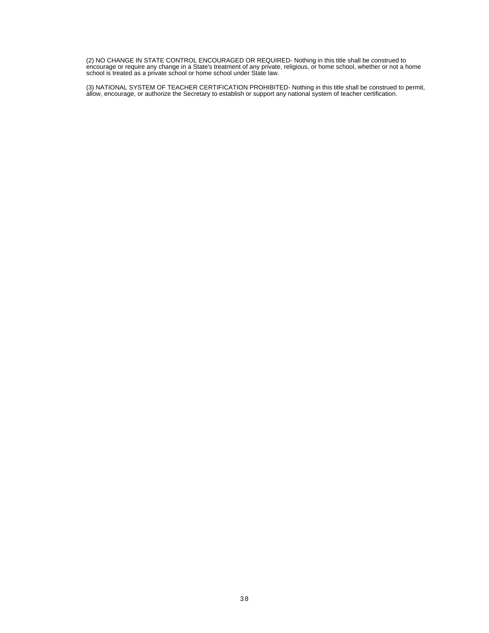(2) NO CHANGE IN STATE CONTROL ENCOURAGED OR REQUIRED- Nothing in this title shall be construed to encourage or require any change in a State's treatment of any private, religious, or home school, whether or not a home school is treated as a private school or home school under State law.

(3) NATIONAL SYSTEM OF TEACHER CERTIFICATION PROHIBITED- Nothing in this title shall be construed to permit, allow, encourage, or authorize the Secretary to establish or support any national system of teacher certification.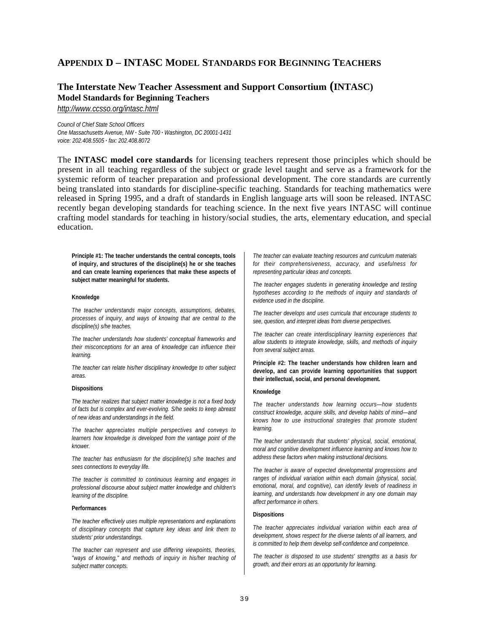### **APPENDIX D – INTASC MODEL STANDARDS FOR BEGINNING TEACHERS**

### **The Interstate New Teacher Assessment and Support Consortium (INTASC) Model Standards for Beginning Teachers**

*http://www.ccsso.org/intasc.html*

*Council of Chief State School Officers One Massachusetts Avenue, NW* **·** *Suite 700* **·** *Washington, DC 20001-1431 voice: 202.408.5505* **·** *fax: 202.408.8072*

The **INTASC model core standards** for licensing teachers represent those principles which should be present in all teaching regardless of the subject or grade level taught and serve as a framework for the systemic reform of teacher preparation and professional development. The core standards are currently being translated into standards for discipline-specific teaching. Standards for teaching mathematics were released in Spring 1995, and a draft of standards in English language arts will soon be released. INTASC recently began developing standards for teaching science. In the next five years INTASC will continue crafting model standards for teaching in history/social studies, the arts, elementary education, and special education.

**Principle #1: The teacher understands the central concepts, tools of inquiry, and structures of the discipline(s) he or she teaches and can create learning experiences that make these aspects of subject matter meaningful for students.**

#### **Knowledge**

*The teacher understands major concepts, assumptions, debates, processes of inquiry, and ways of knowing that are central to the discipline(s) s/he teaches.*

*The teacher understands how students' conceptual frameworks and their misconceptions for an area of knowledge can influence their learning.*

*The teacher can relate his/her disciplinary knowledge to other subject areas.*

#### **Dispositions**

*The teacher realizes that subject matter knowledge is not a fixed body of facts but is complex and ever-evolving. S/he seeks to keep abreast of new ideas and understandings in the field.*

*The teacher appreciates multiple perspectives and conveys to learners how knowledge is developed from the vantage point of the knower.*

*The teacher has enthusiasm for the discipline(s) s/he teaches and sees connections to everyday life.*

*The teacher is committed to continuous learning and engages in professional discourse about subject matter knowledge and children's learning of the discipline.*

#### **Performances**

*The teacher effectively uses multiple representations and explanations of disciplinary concepts that capture key ideas and link them to students' prior understandings.*

*The teacher can represent and use differing viewpoints, theories, "ways of knowing," and methods of inquiry in his/her teaching of subject matter concepts.*

*The teacher can evaluate teaching resources and curriculum materials for their comprehensiveness, accuracy, and usefulness for representing particular ideas and concepts.*

*The teacher engages students in generating knowledge and testing hypotheses according to the methods of inquiry and standards of evidence used in the discipline.*

*The teacher develops and uses curricula that encourage students to see, question, and interpret ideas from diverse perspectives.*

*The teacher can create interdisciplinary learning experiences that allow students to integrate knowledge, skills, and methods of inquiry from several subject areas.*

**Principle #2: The teacher understands how children learn and develop, and can provide learning opportunities that support their intellectual, social, and personal development.**

#### **Knowledge**

*The teacher understands how learning occurs—how students construct knowledge, acquire skills, and develop habits of mind—and knows how to use instructional strategies that promote student learning.*

*The teacher understands that students' physical, social, emotional, moral and cognitive development influence learning and knows how to address these factors when making instructional decisions.*

*The teacher is aware of expected developmental progressions and ranges of individual variation within each domain (physical, social, emotional, moral, and cognitive), can identify levels of readiness in learning, and understands how development in any one domain may affect performance in others.*

#### **Dispositions**

*The teacher appreciates individual variation within each area of development, shows respect for the diverse talents of all learners, and is committed to help them develop self-confidence and competence.*

*The teacher is disposed to use students' strengths as a basis for growth, and their errors as an opportunity for learning.*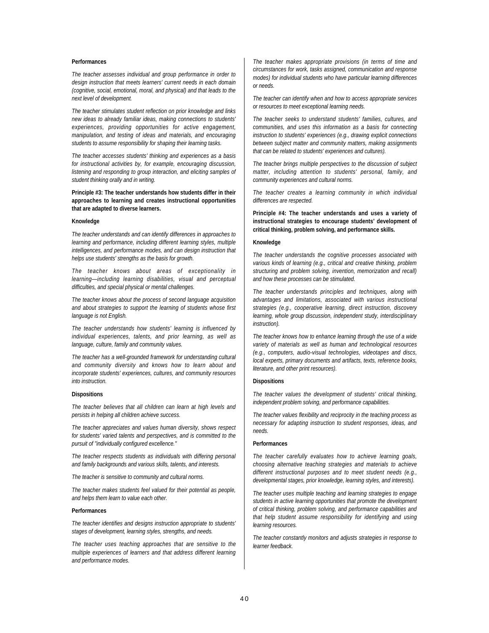#### **Performances**

*The teacher assesses individual and group performance in order to design instruction that meets learners' current needs in each domain (cognitive, social, emotional, moral, and physical) and that leads to the next level of development.*

*The teacher stimulates student reflection on prior knowledge and links new ideas to already familiar ideas, making connections to students' experiences, providing opportunities for active engagement, manipulation, and testing of ideas and materials, and encouraging students to assume responsibility for shaping their learning tasks.*

*The teacher accesses students' thinking and experiences as a basis for instructional activities by, for example, encouraging discussion, listening and responding to group interaction, and eliciting samples of student thinking orally and in writing.*

#### **Principle #3: The teacher understands how students differ in their approaches to learning and creates instructional opportunities that are adapted to diverse learners.**

#### **Knowledge**

*The teacher understands and can identify differences in approaches to learning and performance, including different learning styles, multiple intelligences, and performance modes, and can design instruction that helps use students' strengths as the basis for growth.*

*The teacher knows about areas of exceptionality in learning—including learning disabilities, visual and perceptual difficulties, and special physical or mental challenges.*

*The teacher knows about the process of second language acquisition and about strategies to support the learning of students whose first language is not English.*

*The teacher understands how students' learning is influenced by individual experiences, talents, and prior learning, as well as language, culture, family and community values.*

*The teacher has a well-grounded framework for understanding cultural and community diversity and knows how to learn about and incorporate students' experiences, cultures, and community resources into instruction.*

#### **Dispositions**

*The teacher believes that all children can learn at high levels and persists in helping all children achieve success.*

*The teacher appreciates and values human diversity, shows respect for students' varied talents and perspectives, and is committed to the pursuit of "individually configured excellence."*

*The teacher respects students as individuals with differing personal and family backgrounds and various skills, talents, and interests.*

*The teacher is sensitive to community and cultural norms.*

*The teacher makes students feel valued for their potential as people, and helps them learn to value each other.*

#### **Performances**

*The teacher identifies and designs instruction appropriate to students' stages of development, learning styles, strengths, and needs.*

*The teacher uses teaching approaches that are sensitive to the multiple experiences of learners and that address different learning and performance modes.*

*The teacher makes appropriate provisions (in terms of time and circumstances for work, tasks assigned, communication and response modes) for individual students who have particular learning differences or needs.*

*The teacher can identify when and how to access appropriate services or resources to meet exceptional learning needs.*

*The teacher seeks to understand students' families, cultures, and communities, and uses this information as a basis for connecting instruction to students' experiences (e.g., drawing explicit connections between subject matter and community matters, making assignments that can be related to students' experiences and cultures).*

*The teacher brings multiple perspectives to the discussion of subject matter, including attention to students' personal, family, and community experiences and cultural norms.*

*The teacher creates a learning community in which individual differences are respected.*

**Principle #4: The teacher understands and uses a variety of instructional strategies to encourage students' development of critical thinking, problem solving, and performance skills.**

#### **Knowledge**

*The teacher understands the cognitive processes associated with various kinds of learning (e.g., critical and creative thinking, problem structuring and problem solving, invention, memorization and recall) and how these processes can be stimulated.*

*The teacher understands principles and techniques, along with advantages and limitations, associated with various instructional strategies (e.g., cooperative learning, direct instruction, discovery learning, whole group discussion, independent study, interdisciplinary instruction).*

*The teacher knows how to enhance learning through the use of a wide variety of materials as well as human and technological resources (e.g., computers, audio-visual technologies, videotapes and discs, local experts, primary documents and artifacts, texts, reference books, literature, and other print resources).*

#### **Dispositions**

*The teacher values the development of students' critical thinking, independent problem solving, and performance capabilities.*

*The teacher values flexibility and reciprocity in the teaching process as necessary for adapting instruction to student responses, ideas, and needs.*

#### **Performances**

*The teacher carefully evaluates how to achieve learning goals, choosing alternative teaching strategies and materials to achieve different instructional purposes and to meet student needs (e.g., developmental stages, prior knowledge, learning styles, and interests).*

*The teacher uses multiple teaching and learning strategies to engage students in active learning opportunities that promote the development of critical thinking, problem solving, and performance capabilities and that help student assume responsibility for identifying and using learning resources.*

*The teacher constantly monitors and adjusts strategies in response to learner feedback.*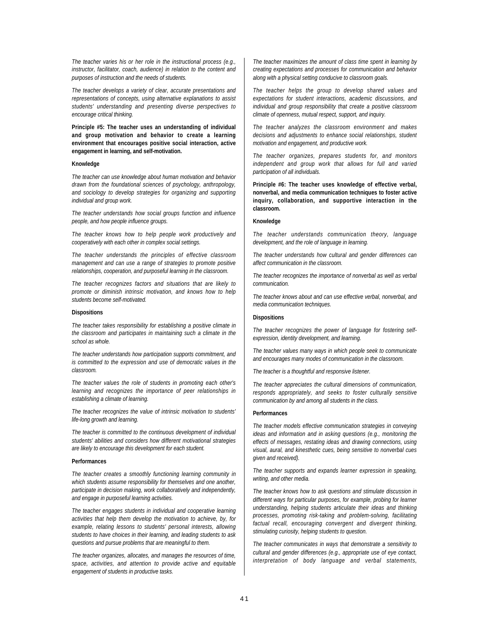*The teacher varies his or her role in the instructional process (e.g., instructor, facilitator, coach, audience) in relation to the content and purposes of instruction and the needs of students.*

*The teacher develops a variety of clear, accurate presentations and representations of concepts, using alternative explanations to assist students' understanding and presenting diverse perspectives to encourage critical thinking.*

**Principle #5: The teacher uses an understanding of individual and group motivation and behavior to create a learning environment that encourages positive social interaction, active engagement in learning, and self-motivation.**

#### **Knowledge**

*The teacher can use knowledge about human motivation and behavior drawn from the foundational sciences of psychology, anthropology, and sociology to develop strategies for organizing and supporting individual and group work.*

*The teacher understands how social groups function and influence people, and how people influence groups.*

*The teacher knows how to help people work productively and cooperatively with each other in complex social settings.*

*The teacher understands the principles of effective classroom management and can use a range of strategies to promote positive relationships, cooperation, and purposeful learning in the classroom.*

*The teacher recognizes factors and situations that are likely to promote or diminish intrinsic motivation, and knows how to help students become self-motivated.*

#### **Dispositions**

*The teacher takes responsibility for establishing a positive climate in the classroom and participates in maintaining such a climate in the school as whole.*

*The teacher understands how participation supports commitment, and is committed to the expression and use of democratic values in the classroom.*

*The teacher values the role of students in promoting each other's learning and recognizes the importance of peer relationships in establishing a climate of learning.*

*The teacher recognizes the value of intrinsic motivation to students' life-long growth and learning.*

*The teacher is committed to the continuous development of individual students' abilities and considers how different motivational strategies are likely to encourage this development for each student.*

#### **Performances**

*The teacher creates a smoothly functioning learning community in which students assume responsibility for themselves and one another, participate in decision making, work collaboratively and independently, and engage in purposeful learning activities.*

*The teacher engages students in individual and cooperative learning activities that help them develop the motivation to achieve, by, for example, relating lessons to students' personal interests, allowing students to have choices in their learning, and leading students to ask questions and pursue problems that are meaningful to them.*

*The teacher organizes, allocates, and manages the resources of time, space, activities, and attention to provide active and equitable engagement of students in productive tasks.*

*The teacher maximizes the amount of class time spent in learning by creating expectations and processes for communication and behavior along with a physical setting conducive to classroom goals.*

*The teacher helps the group to develop shared values and expectations for student interactions, academic discussions, and individual and group responsibility that create a positive classroom climate of openness, mutual respect, support, and inquiry.*

*The teacher analyzes the classroom environment and makes decisions and adjustments to enhance social relationships, student motivation and engagement, and productive work.*

*The teacher organizes, prepares students for, and monitors independent and group work that allows for full and varied participation of all individuals.*

**Principle #6: The teacher uses knowledge of effective verbal, nonverbal, and media communication techniques to foster active inquiry, collaboration, and supportive interaction in the classroom.**

#### **Knowledge**

*The teacher understands communication theory, language development, and the role of language in learning.*

*The teacher understands how cultural and gender differences can affect communication in the classroom.*

*The teacher recognizes the importance of nonverbal as well as verbal communication.*

*The teacher knows about and can use effective verbal, nonverbal, and media communication techniques.*

#### **Dispositions**

*The teacher recognizes the power of language for fostering selfexpression, identity development, and learning.*

*The teacher values many ways in which people seek to communicate and encourages many modes of communication in the classroom.*

*The teacher is a thoughtful and responsive listener.*

*The teacher appreciates the cultural dimensions of communication, responds appropriately, and seeks to foster culturally sensitive communication by and among all students in the class.*

#### **Performances**

*The teacher models effective communication strategies in conveying ideas and information and in asking questions (e.g., monitoring the effects of messages, restating ideas and drawing connections, using visual, aural, and kinesthetic cues, being sensitive to nonverbal cues given and received).*

*The teacher supports and expands learner expression in speaking, writing, and other media.*

*The teacher knows how to ask questions and stimulate discussion in different ways for particular purposes, for example, probing for learner understanding, helping students articulate their ideas and thinking processes, promoting risk-taking and problem-solving, facilitating factual recall, encouraging convergent and divergent thinking, stimulating curiosity, helping students to question.*

*The teacher communicates in ways that demonstrate a sensitivity to cultural and gender differences (e.g., appropriate use of eye contact, interpretation of body language and verbal statements,*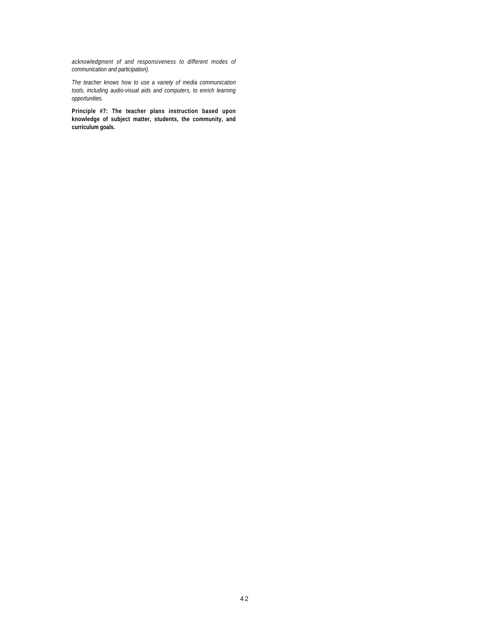*acknowledgment of and responsiveness to different modes of communication and participation).*

*The teacher knows how to use a variety of media communication tools, including audio-visual aids and computers, to enrich learning opportunities.*

**Principle #7: The teacher plans instruction based upon knowledge of subject matter, students, the community, and curriculum goals.**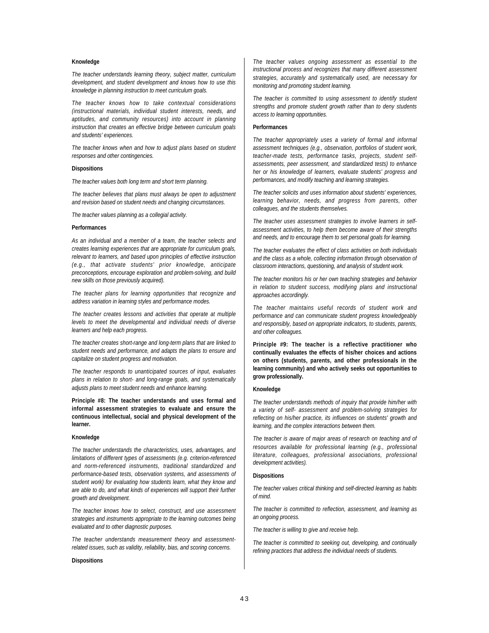#### **Knowledge**

*The teacher understands learning theory, subject matter, curriculum development, and student development and knows how to use this knowledge in planning instruction to meet curriculum goals.*

*The teacher knows how to take contextual considerations (instructional materials, individual student interests, needs, and aptitudes, and community resources) into account in planning instruction that creates an effective bridge between curriculum goals and students' experiences.*

*The teacher knows when and how to adjust plans based on student responses and other contingencies.*

#### **Dispositions**

*The teacher values both long term and short term planning.*

*The teacher believes that plans must always be open to adjustment and revision based on student needs and changing circumstances.*

*The teacher values planning as a collegial activity.*

#### **Performances**

*As an individual and a member of a team, the teacher selects and creates learning experiences that are appropriate for curriculum goals, relevant to learners, and based upon principles of effective instruction (e.g., that activate students' prior knowledge, anticipate preconceptions, encourage exploration and problem-solving, and build new skills on those previously acquired).*

*The teacher plans for learning opportunities that recognize and address variation in learning styles and performance modes.*

*The teacher creates lessons and activities that operate at multiple levels to meet the developmental and individual needs of diverse learners and help each progress.*

*The teacher creates short-range and long-term plans that are linked to student needs and performance, and adapts the plans to ensure and capitalize on student progress and motivation.*

*The teacher responds to unanticipated sources of input, evaluates plans in relation to short- and long-range goals, and systematically adjusts plans to meet student needs and enhance learning.*

**Principle #8: The teacher understands and uses formal and informal assessment strategies to evaluate and ensure the continuous intellectual, social and physical development of the learner.**

#### **Knowledge**

*The teacher understands the characteristics, uses, advantages, and limitations of different types of assessments (e.g. criterion-referenced and norm-referenced instruments, traditional standardized and performance-based tests, observation systems, and assessments of student work) for evaluating how students learn, what they know and are able to do, and what kinds of experiences will support their further growth and development.*

*The teacher knows how to select, construct, and use assessment strategies and instruments appropriate to the learning outcomes being evaluated and to other diagnostic purposes.*

*The teacher understands measurement theory and assessmentrelated issues, such as validity, reliability, bias, and scoring concerns.*

#### **Dispositions**

*The teacher values ongoing assessment as essential to the instructional process and recognizes that many different assessment strategies, accurately and systematically used, are necessary for monitoring and promoting student learning.*

*The teacher is committed to using assessment to identify student strengths and promote student growth rather than to deny students access to learning opportunities.*

#### **Performances**

*The teacher appropriately uses a variety of formal and informal assessment techniques (e.g., observation, portfolios of student work, teacher-made tests, performance tasks, projects, student selfassessments, peer assessment, and standardized tests) to enhance her or his knowledge of learners, evaluate students' progress and performances, and modify teaching and learning strategies.*

*The teacher solicits and uses information about students' experiences, learning behavior, needs, and progress from parents, other colleagues, and the students themselves.*

*The teacher uses assessment strategies to involve learners in selfassessment activities, to help them become aware of their strengths and needs, and to encourage them to set personal goals for learning.*

*The teacher evaluates the effect of class activities on both individuals and the class as a whole, collecting information through observation of classroom interactions, questioning, and analysis of student work.*

*The teacher monitors his or her own teaching strategies and behavior in relation to student success, modifying plans and instructional approaches accordingly.*

*The teacher maintains useful records of student work and performance and can communicate student progress knowledgeably and responsibly, based on appropriate indicators, to students, parents, and other colleagues.*

**Principle #9: The teacher is a reflective practitioner who continually evaluates the effects of his/her choices and actions on others (students, parents, and other professionals in the learning community) and who actively seeks out opportunities to grow professionally.**

#### **Knowledge**

*The teacher understands methods of inquiry that provide him/her with a variety of self- assessment and problem-solving strategies for reflecting on his/her practice, its influences on students' growth and learning, and the complex interactions between them.*

*The teacher is aware of major areas of research on teaching and of resources available for professional learning (e.g., professional literature, colleagues, professional associations, professional development activities).*

#### **Dispositions**

*The teacher values critical thinking and self-directed learning as habits of mind.*

*The teacher is committed to reflection, assessment, and learning as an ongoing process.*

*The teacher is willing to give and receive help.*

*The teacher is committed to seeking out, developing, and continually refining practices that address the individual needs of students.*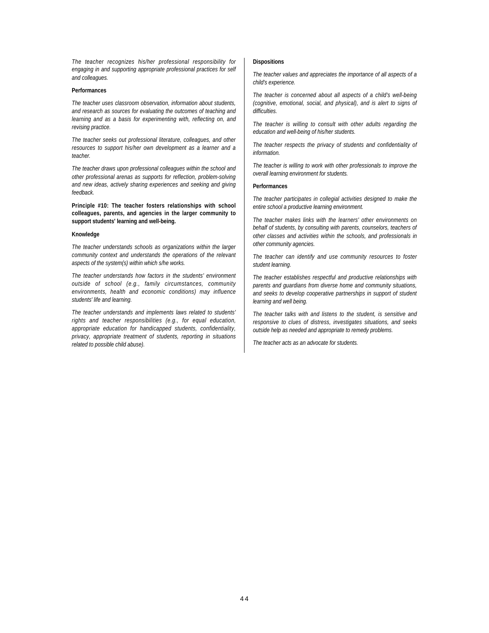*The teacher recognizes his/her professional responsibility for engaging in and supporting appropriate professional practices for self and colleagues.*

#### **Performances**

*The teacher uses classroom observation, information about students, and research as sources for evaluating the outcomes of teaching and learning and as a basis for experimenting with, reflecting on, and revising practice.*

*The teacher seeks out professional literature, colleagues, and other resources to support his/her own development as a learner and a teacher.*

*The teacher draws upon professional colleagues within the school and other professional arenas as supports for reflection, problem-solving and new ideas, actively sharing experiences and seeking and giving feedback.*

**Principle #10: The teacher fosters relationships with school colleagues, parents, and agencies in the larger community to support students' learning and well-being.**

#### **Knowledge**

*The teacher understands schools as organizations within the larger community context and understands the operations of the relevant aspects of the system(s) within which s/he works.*

*The teacher understands how factors in the students' environment outside of school (e.g., family circumstances, community environments, health and economic conditions) may influence students' life and learning.*

*The teacher understands and implements laws related to students' rights and teacher responsibilities (e.g., for equal education, appropriate education for handicapped students, confidentiality, privacy, appropriate treatment of students, reporting in situations related to possible child abuse).*

#### **Dispositions**

*The teacher values and appreciates the importance of all aspects of a child's experience.*

*The teacher is concerned about all aspects of a child's well-being (cognitive, emotional, social, and physical), and is alert to signs of difficulties.*

*The teacher is willing to consult with other adults regarding the education and well-being of his/her students.*

*The teacher respects the privacy of students and confidentiality of information.*

*The teacher is willing to work with other professionals to improve the overall learning environment for students.*

#### **Performances**

*The teacher participates in collegial activities designed to make the entire school a productive learning environment.*

*The teacher makes links with the learners' other environments on behalf of students, by consulting with parents, counselors, teachers of other classes and activities within the schools, and professionals in other community agencies.*

*The teacher can identify and use community resources to foster student learning.*

*The teacher establishes respectful and productive relationships with parents and guardians from diverse home and community situations, and seeks to develop cooperative partnerships in support of student learning and well being.*

*The teacher talks with and listens to the student, is sensitive and responsive to clues of distress, investigates situations, and seeks outside help as needed and appropriate to remedy problems.*

*The teacher acts as an advocate for students.*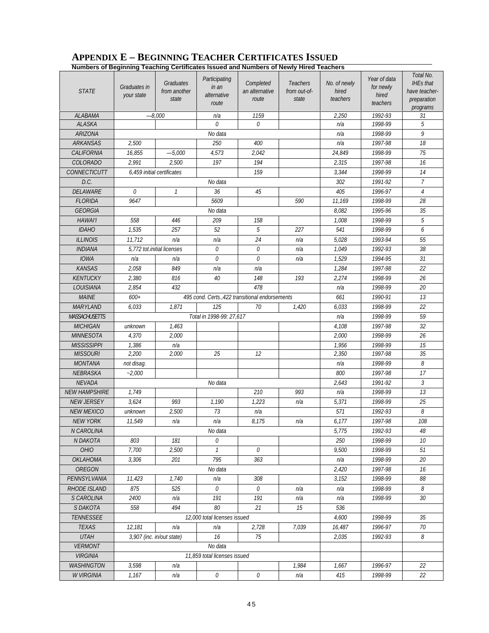### **APPENDIX E – BEGINNING TEACHER CERTIFICATES ISSUED Numbers of Beginning Teaching Certificates Issued and Numbers of Newly Hired Teachers**

|                      |                                   |                            | Participating                |                                                 |                 |              | Year of data | Total No.        |
|----------------------|-----------------------------------|----------------------------|------------------------------|-------------------------------------------------|-----------------|--------------|--------------|------------------|
|                      | Graduates in                      | Graduates                  | in an                        | Completed                                       | <b>Teachers</b> | No. of newly | for newly    | <b>IHEs that</b> |
| <b>STATE</b>         | your state                        | from another               | alternative                  | an alternative                                  | from out-of-    | hired        | hired        | have teacher-    |
|                      |                                   | state                      | route                        | route                                           | state           | teachers     | teachers     | preparation      |
| <b>ALABAMA</b>       |                                   | $-8,000$                   | n/a                          | 1159                                            |                 | 2,250        | 1992-93      | programs<br>31   |
| <b>ALASKA</b>        |                                   |                            | 0                            | 0                                               |                 | n/a          | 1998-99      | 5                |
| <b>ARIZONA</b>       |                                   |                            | No data                      |                                                 |                 | n/a          | 1998-99      | 9                |
| <b>ARKANSAS</b>      | 2,500                             |                            | 250                          | 400                                             |                 | n/a          | 1997-98      | 18               |
| <b>CALIFORNIA</b>    | 16,855                            | $-5,000$                   | 4,573                        | 2,042                                           |                 | 24,849       | 1998-99      | 75               |
| <b>COLORADO</b>      | 2,991                             | 2,500                      | 197                          | 194                                             |                 | 2,315        | 1997-98      | 16               |
| <b>CONNECTICUTT</b>  | 6,459 initial certificates<br>159 |                            |                              |                                                 |                 | 3,344        | 1998-99      | 14               |
| D.C.                 |                                   |                            | No data                      |                                                 |                 | 302          | 1991-92      | 7                |
| <b>DELAWARE</b>      | 0                                 | $\mathcal{I}$              | 36                           | 45                                              |                 | 405          | 1996-97      | $\overline{4}$   |
| <b>FLORIDA</b>       | 9647                              |                            | 5609                         |                                                 | 590             | 11,169       | 1998-99      | 28               |
| <b>GEORGIA</b>       |                                   |                            | No data                      |                                                 |                 | 8,082        | 1995-96      | 35               |
| <b>HAWAI'I</b>       | 558                               | 446                        | 209                          | 158                                             |                 | 1,008        | 1998-99      | 5                |
| <b>IDAHO</b>         | 1,535                             | 257                        | 52                           | 5                                               | 227             | 541          | 1998-99      | 6                |
| <b>ILLINOIS</b>      | 11,712                            | n/a                        | n/a                          | 24                                              | n/a             | 5,028        | 1993-94      | 55               |
| <b>INDIANA</b>       |                                   | 5,772 tot.initial licenses | 0                            | 0                                               | n/a             | 1,049        | 1992-93      | 38               |
| <b>IOWA</b>          | n/a                               | n/a                        | 0                            | 0                                               | n/a             | 1,529        | 1994-95      | 31               |
| <b>KANSAS</b>        | 2,058                             | 849                        | n/a                          | n/a                                             |                 | 1,284        | 1997-98      | 22               |
| <b>KENTUCKY</b>      | 2,380                             | 816                        | 40                           | 148                                             | 193             | 2,274        | 1998-99      | 26               |
| LOUISIANA            | 2,854                             | 432                        |                              | 478                                             |                 | n/a          | 1998-99      | 20               |
| <b>MAINE</b>         | 600+                              |                            |                              | 495 cond. Certs., 422 transitional endorsements |                 | 661          | 1990-91      | 13               |
| <b>MARYLAND</b>      | 6,033                             | 1,871                      | 125                          | 70                                              | 1,420           | 6,033        | 1998-99      | 22               |
| MASSACHUSETTS        |                                   |                            | Total in 1998-99: 27,617     |                                                 |                 | n/a          | 1998-99      | 59               |
| <b>MICHIGAN</b>      | unknown                           | 1,463                      |                              |                                                 |                 | 4,108        | 1997-98      | 32               |
| <b>MINNESOTA</b>     | 4.370                             | 2,000                      |                              |                                                 |                 | 2,000        | 1998-99      | 26               |
| <b>MISSISSIPPI</b>   | 1,386                             | n/a                        |                              |                                                 |                 | 1,956        | 1998-99      | 15               |
| <b>MISSOURI</b>      | 2,200                             | 2,000                      | 25                           | 12                                              |                 | 2,350        | 1997-98      | 35               |
| <b>MONTANA</b>       | not disag.                        |                            |                              |                                                 |                 | n/a          | 1998-99      | 8                |
| NEBRASKA             | $-2,000$                          |                            |                              |                                                 |                 | 800          | 1997-98      | 17               |
| NEVADA               |                                   |                            | No data                      |                                                 |                 | 2,643        | 1991-92      | 3                |
| <b>NEW HAMPSHIRE</b> | 1,749                             |                            |                              | 210                                             | 993             | n/a          | 1998-99      | 13               |
| <b>NEW JERSEY</b>    | 3,624                             | 993                        | 1,190                        | 1,223                                           | n/a             | 5,371        | 1998-99      | 25               |
| <b>NEW MEXICO</b>    | unknown                           | 2,500                      | 73                           | n/a                                             |                 | 571          | 1992-93      | 8                |
| <b>NEW YORK</b>      | 11,549                            | n/a                        | n/a                          | 8,175                                           | n/a             | 6,177        | 1997-98      | 108              |
| N CAROLINA           |                                   |                            | No data                      |                                                 |                 | 5,775        | 1992-93      | 48               |
| N DAKOTA             | 803                               | 181                        | 0                            |                                                 |                 | 250          | 1998-99      | 10               |
| <b>OHIO</b>          | 7,700                             | 2,500                      | $\mathcal{I}$                | 0                                               |                 | 9,500        | 1998-99      | 51               |
| <b>OKLAHOMA</b>      | 3,306                             | 201                        | 795                          | 363                                             |                 | n/a          | 1998-99      | 20               |
| <b>OREGON</b>        |                                   |                            | No data                      |                                                 |                 | 2,420        | 1997-98      | 16               |
| <b>PENNSYLVANIA</b>  | 11,423                            | 1,740                      | n/a                          | 308                                             |                 | 3,152        | 1998-99      | 88               |
| <b>RHODE ISLAND</b>  | 875                               | 525                        | 0                            | 0                                               | n/a             | n/a          | 1998-99      | 8                |
| S CAROLINA           | <i>2400</i>                       | n/a                        | 191                          | 191                                             | n/a             | n/a          | 1998-99      | 30               |
| S DAKOTA             | 558                               | 494                        | 80                           | 21                                              | 15              | 536          |              |                  |
| <b>TENNESSEE</b>     |                                   |                            | 12,000 total licenses issued |                                                 |                 | 4,600        | 1998-99      | 35               |
| <b>TEXAS</b>         | 12,181                            | n/a                        | n/a                          | 2,728                                           | 7,039           | 16,487       | 1996-97      | 70               |
| <b>UTAH</b>          |                                   | 3,907 (inc. in/out state)  | 16                           | 75                                              |                 | 2,035        | 1992-93      | 8                |
| <b>VERMONT</b>       |                                   |                            | No data                      |                                                 |                 |              |              |                  |
| <b>VIRGINIA</b>      |                                   |                            | 11,859 total licenses issued |                                                 |                 |              |              |                  |
| <b>WASHINGTON</b>    | 3,598                             | n/a                        |                              |                                                 | 1,984           | 1,667        | 1996-97      | 22               |
| <b>W VIRGINIA</b>    | 1,167                             | n/a                        | 0                            | 0                                               | n/a             | 415          | 1998-99      | 22               |
|                      |                                   |                            |                              |                                                 |                 |              |              |                  |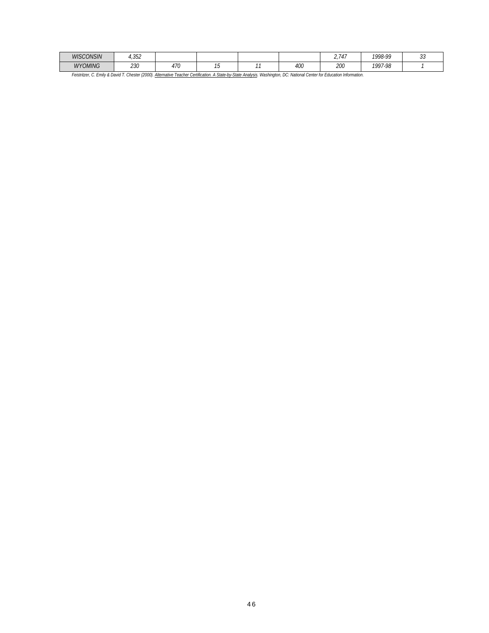| WISCONSIN                                                                                                                                                              | ,352 |     |  |  |     | 2.747      | 1998-99 | $\sim$<br>ັບພ |
|------------------------------------------------------------------------------------------------------------------------------------------------------------------------|------|-----|--|--|-----|------------|---------|---------------|
| WYOMING                                                                                                                                                                | 230  | 470 |  |  | 400 | <i>200</i> | 1997-98 |               |
| Eclatetines C. Emily 8 David T. Checker (2000). Alternative Teacher Carification. A Clate by Clate Anglycia Machineten, DC, National Captar for Edwardian Information. |      |     |  |  |     |            |         |               |

*Feistritzer, C. Emily & David T. Chester (2000). Alternative Teacher Certification. A State-by-State Analysis. Washington, DC: National Center for Education Information.*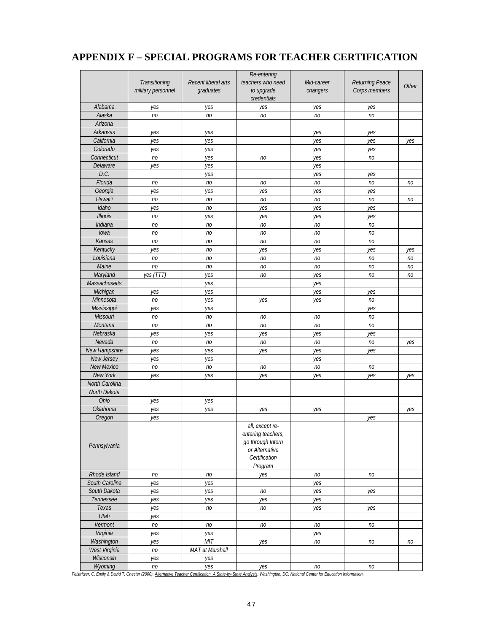### **APPENDIX F – SPECIAL PROGRAMS FOR TEACHER CERTIFICATION**

|                    |                    |                     | Re-entering        |                |                        |              |
|--------------------|--------------------|---------------------|--------------------|----------------|------------------------|--------------|
|                    | Transitioning      | Recent liberal arts | teachers who need  | Mid-career     | <b>Returning Peace</b> | <b>Other</b> |
|                    | military personnel | graduates           | to upgrade         | changers       | Corps members          |              |
|                    |                    |                     | credentials        |                |                        |              |
| Alabama            | yes                | yes                 | yes                | yes            | yes                    |              |
| Alaska             | n <sub>o</sub>     | n <sub>o</sub>      | no                 | n <sub>o</sub> | n <sub>o</sub>         |              |
| Arizona            |                    |                     |                    |                |                        |              |
| Arkansas           | yes                | yes                 |                    | yes            | yes                    |              |
| California         | yes                | yes                 |                    | yes            | yes                    | yes          |
| Colorado           | yes                | yes                 |                    | yes            | yes                    |              |
| Connecticut        | n <sub>o</sub>     | yes                 | no                 | yes            | n <sub>o</sub>         |              |
| Delaware           | yes                | yes                 |                    | yes            |                        |              |
| D.C.               |                    | yes                 |                    | yes            | yes                    |              |
| Florida            | n <sub>o</sub>     | n <sub>o</sub>      | no                 | n <sub>o</sub> | n <sub>o</sub>         | no           |
| Georgia            | yes                | yes                 | yes                | yes            | yes                    |              |
| Hawai'i            | n <sub>o</sub>     | n <sub>o</sub>      | no                 | n <sub>o</sub> | n <sub>o</sub>         | no           |
| Idaho              | yes                | n <sub>o</sub>      | yes                | yes            | yes                    |              |
| <b>Illinois</b>    | n <sub>o</sub>     | yes                 | yes                | yes            | yes                    |              |
| Indiana            | n <sub>o</sub>     | n <sub>o</sub>      | no                 | n <sub>o</sub> | n <sub>o</sub>         |              |
| lowa               | n <sub>o</sub>     | no                  | no                 | n <sub>o</sub> | n <sub>o</sub>         |              |
| Kansas             | n <sub>o</sub>     | n <sub>o</sub>      | no                 | n <sub>o</sub> | n <sub>o</sub>         |              |
| Kentucky           | yes                |                     | yes                | yes            | yes                    | yes          |
|                    |                    | no                  |                    |                |                        |              |
| Louisiana<br>Maine | n <sub>o</sub>     | no                  | no                 | no             | n <sub>o</sub>         | no           |
|                    | n <sub>o</sub>     | n <sub>o</sub>      | no                 | n <sub>o</sub> | n <sub>o</sub>         | no           |
| Maryland           | yes (TTT)          | yes                 | no                 | yes            | n <sub>o</sub>         | no           |
| Massachusetts      |                    | yes                 |                    | yes            |                        |              |
| Michigan           | yes                | yes                 |                    | yes            | yes                    |              |
| Minnesota          | n <sub>o</sub>     | yes                 | yes                | yes            | n <sub>o</sub>         |              |
| Mississippi        | yes                | yes                 |                    |                | yes                    |              |
| Missouri           | n <sub>o</sub>     | n <sub>o</sub>      | no                 | n <sub>o</sub> | n <sub>o</sub>         |              |
| Montana            | n <sub>o</sub>     | n <sub>o</sub>      | n <sub>O</sub>     | n <sub>o</sub> | n <sub>o</sub>         |              |
| Nebraska           | yes                | yes                 | yes                | yes            | yes                    |              |
| Nevada             | n <sub>o</sub>     | n <sub>o</sub>      | n <sub>o</sub>     | n <sub>o</sub> | n <sub>o</sub>         | yes          |
| New Hampshire      | yes                | yes                 | yes                | yes            | yes                    |              |
| New Jersey         | yes                | yes                 |                    | yes            |                        |              |
| <b>New Mexico</b>  | n <sub>o</sub>     | n <sub>o</sub>      | no                 | n <sub>o</sub> | n <sub>o</sub>         |              |
| <b>New York</b>    | yes                | yes                 | yes                | yes            | yes                    | yes          |
| North Carolina     |                    |                     |                    |                |                        |              |
| North Dakota       |                    |                     |                    |                |                        |              |
| <b>Ohio</b>        | yes                | yes                 |                    |                |                        |              |
| Oklahoma           | yes                | yes                 | yes                | yes            |                        | yes          |
| Oregon             | yes                |                     |                    |                | yes                    |              |
|                    |                    |                     | all, except re-    |                |                        |              |
|                    |                    |                     | entering teachers, |                |                        |              |
|                    |                    |                     | go through Intern  |                |                        |              |
| Pennsylvania       |                    |                     | or Alternative     |                |                        |              |
|                    |                    |                     | Certification      |                |                        |              |
|                    |                    |                     | Program            |                |                        |              |
| Rhode Island       | n <sub>o</sub>     | n <sub>o</sub>      | yes                | n <sub>o</sub> | n <sub>o</sub>         |              |
| South Carolina     | yes                | yes                 |                    | yes            |                        |              |
| South Dakota       | yes                | yes                 | no                 | yes            | yes                    |              |
| Tennessee          | yes                | yes                 | yes                | yes            |                        |              |
| Texas              | yes                | n <sub>o</sub>      | no                 | yes            | yes                    |              |
| Utah               | yes                |                     |                    |                |                        |              |
| Vermont            | n <sub>o</sub>     | n <sub>o</sub>      | n <sub>o</sub>     | n <sub>o</sub> | n <sub>o</sub>         |              |
| Virginia           | yes                | yes                 |                    | yes            |                        |              |
| Washington         | yes                | МIТ                 | yes                | no             | n <sub>o</sub>         | no           |
| West Virginia      | no                 | MAT at Marshall     |                    |                |                        |              |
| Wisconsin          | yes                | yes                 |                    |                |                        |              |
|                    |                    |                     |                    |                |                        |              |
| Wyoming            | n <sub>o</sub>     | yes                 | yes                | n <sub>o</sub> | n <sub>o</sub>         |              |

*Feistritzer, C. Emily & David T. Chester (2000). Alternative Teacher Certification. A State-by-State Analysis. Washington, DC: National Center for Education Information.*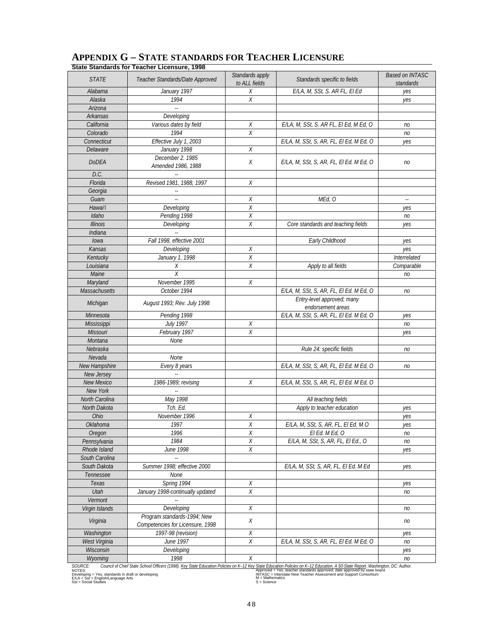| <b>STATE</b>    | Teacher Standards/Date Approved             | Standards apply<br>to ALL fields | Standards specific to fields                                                               | <b>Based on INTASC</b><br>standards |
|-----------------|---------------------------------------------|----------------------------------|--------------------------------------------------------------------------------------------|-------------------------------------|
| Alabama         | January 1997                                | Χ                                | E/LA, M, SSt, S. AR FL, El Ed                                                              | yes                                 |
| Alaska          | 1994                                        | Χ                                |                                                                                            | yes                                 |
| Arizona         | $\sim$                                      |                                  |                                                                                            |                                     |
| Arkansas        | Developing                                  |                                  |                                                                                            |                                     |
| California      | Various dates by field                      | Χ                                | E/LA, M, SSt, S. AR FL, El Ed, M Ed, O                                                     | no                                  |
| Colorado        | 1994                                        | Χ                                |                                                                                            | n <sub>o</sub>                      |
| Connecticut     | Effective July 1, 2003                      |                                  | E/LA, M, SSt, S, AR, FL, El Ed, M Ed, O                                                    | yes                                 |
| Delaware        | January 1998                                | Χ                                |                                                                                            |                                     |
| <b>DoDEA</b>    | December 2. 1985<br>Amended 1986, 1988      | Χ                                | E/LA, M, SSt, S, AR, FL, El Ed. M Ed, O                                                    | no                                  |
| D.C.            |                                             |                                  |                                                                                            |                                     |
| Florida         | Revised 1981, 1988, 1997                    | Χ                                |                                                                                            |                                     |
| Georgia         |                                             |                                  |                                                                                            |                                     |
| Guam            |                                             | Χ                                | MEd, O                                                                                     | $\overline{\phantom{a}}$            |
| Hawai'i         | Developing                                  | $\overline{X}$                   |                                                                                            | yes                                 |
| Idaho           | Pending 1998                                | Χ                                |                                                                                            | n <sub>o</sub>                      |
| <b>Illinois</b> | Developing                                  | Χ                                | Core standards and teaching fields                                                         | yes                                 |
| Indiana         | $\sim$                                      |                                  |                                                                                            |                                     |
| lowa            | Fall 1998, effective 2001                   |                                  | Early Childhood                                                                            | yes                                 |
| Kansas          | Developing                                  | Χ                                |                                                                                            | yes                                 |
| Kentucky        | January 1, 1998                             | Χ                                |                                                                                            | Interrelated                        |
| Louisiana       | Χ                                           | Χ                                | Apply to all fields                                                                        | Comparable                          |
| Maine           | $\overline{X}$                              |                                  |                                                                                            | n <sub>o</sub>                      |
| Maryland        | November 1995                               | Χ                                |                                                                                            |                                     |
| Massachusetts   |                                             |                                  |                                                                                            |                                     |
| Michigan        | October 1994<br>August 1993; Rev. July 1998 |                                  | E/LA, M, SSt, S, AR, FL, El Ed. M Ed, O<br>Entry-level approved; many<br>endorsement areas | no                                  |
| Minnesota       | Pending 1998                                |                                  | E/LA, M, SSt, S, AR, FL, El Ed. M Ed, O                                                    | yes                                 |
| Mississippi     | <b>July 1997</b>                            | Χ                                |                                                                                            |                                     |
| Missouri        | February 1997                               | X                                |                                                                                            | no                                  |
| <b>Montana</b>  | None                                        |                                  |                                                                                            | yes                                 |
|                 |                                             |                                  |                                                                                            |                                     |
| Nebraska        |                                             |                                  | Rule 24: specific fields                                                                   | no                                  |
| Nevada          | None                                        |                                  |                                                                                            |                                     |
| New Hampshire   | Every 8 years                               |                                  | E/LA, M, SSt, S, AR, FL, El Ed. M Ed, O                                                    | n <sub>o</sub>                      |
| New Jersey      |                                             |                                  |                                                                                            |                                     |
| New Mexico      | 1986-1989; revising                         | Χ                                | E/LA, M, SSt, S, AR, FL, El Ed. M Ed, O                                                    |                                     |
| New York        | $\sim$                                      |                                  |                                                                                            |                                     |
| North Carolina  | May 1998                                    |                                  | All teaching fields                                                                        |                                     |
| North Dakota    | Tch. Ed.                                    |                                  | Apply to teacher education                                                                 | yes                                 |
| Ohio            | November 1996                               | Χ                                |                                                                                            | yes                                 |
| Oklahoma        | 1997                                        | $\chi$                           | E/LA, M, SSt, S, AR, FL, El Ed. MO                                                         | yes                                 |
| Oregon          | 1996                                        | Χ                                | El Ed. M Ed, O                                                                             | no                                  |
| Pennsylvania    | 1984                                        | $\chi$                           | E/LA, M, SSt, S, AR, FL, El Ed., O                                                         | n <sub>o</sub>                      |
| Rhode Island    | June 1998                                   | Χ                                |                                                                                            | yes                                 |
| South Carolina  | ÷.                                          |                                  |                                                                                            |                                     |
| South Dakota    | Summer 1998; effective 2000                 |                                  | E/LA, M, SSt, S, AR, FL, El Ed. M Ed                                                       | yes                                 |
| Tennessee       | None                                        |                                  |                                                                                            |                                     |
| Texas           | Spring 1994                                 | Χ                                |                                                                                            | yes                                 |
| Utah            | January 1998-continually updated            | $\chi$                           |                                                                                            | no                                  |
| Vermont         |                                             |                                  |                                                                                            |                                     |
| Virgin Islands  | Developing                                  | $\chi$                           |                                                                                            | n <sub>o</sub>                      |
|                 | Program standards-1994; New                 |                                  |                                                                                            |                                     |
| Virginia        | Competencies for Licensure, 1998            | Χ                                |                                                                                            | n <sub>o</sub>                      |
| Washington      | 1997-98 (revision)                          | Χ                                |                                                                                            | yes                                 |
| West Virginia   | June 1997                                   | Χ                                | E/LA, M, SSt, S, AR, FL, El Ed. M Ed, O                                                    | no                                  |
| Wisconsin       | Developing                                  |                                  |                                                                                            | yes                                 |
| Wyoming         | 1998                                        | $\overline{X}$                   |                                                                                            | no                                  |

#### **APPENDIX G – STATE STANDARDS FOR TEACHER LICENSURE State Standards for Teacher Licensure, 1998**

SOURCE: Council of Chief State School Officers (1998). <u>Key State Education Policies on K–12 Key State Education Policies on K–12 Education Policies on K–12 Education A 50-State Report. Washington, DC: Author.<br>Nortes – Ye</u>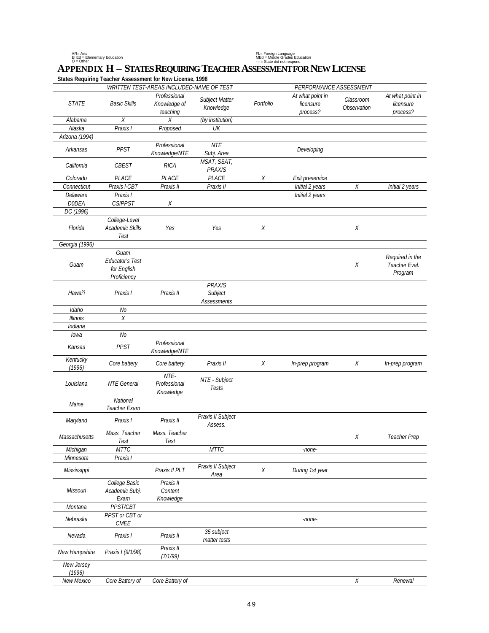### AR= Arts FL= Foreign Language El Ed = Elementary Education MEd = Middle Grades Education O = Other — = State did not respond **APPENDIX H – STATES REQUIRING TEACHER ASSESSMENT FOR NEW LICENSE**

|                      |                                                              | WRITTEN TEST-AREAS INCLUDED-NAME OF TEST |                                                |           | PERFORMANCE ASSESSMENT |             |                                             |
|----------------------|--------------------------------------------------------------|------------------------------------------|------------------------------------------------|-----------|------------------------|-------------|---------------------------------------------|
|                      |                                                              | Professional                             | <b>Subject Matter</b>                          |           | At what point in       | Classroom   | At what point in                            |
| STATE                | <b>Basic Skills</b>                                          | Knowledge of                             | Knowledge                                      | Portfolio | licensure              | Observation | licensure                                   |
| Alabama              | Χ                                                            | teaching<br>Χ                            | (by institution)                               |           | process?               |             | process?                                    |
| Alaska               | Praxis I                                                     | Proposed                                 | UК                                             |           |                        |             |                                             |
| Arizona (1994)       |                                                              |                                          |                                                |           |                        |             |                                             |
|                      |                                                              | Professional                             | <b>NTE</b>                                     |           |                        |             |                                             |
| Arkansas             | <b>PPST</b>                                                  | Knowledge/NTE                            | Subj. Area                                     |           | Developing             |             |                                             |
| California           | <b>CBEST</b>                                                 | <b>RICA</b>                              | <b>MSAT, SSAT,</b><br><b>PRAXIS</b>            |           |                        |             |                                             |
| Colorado             | <b>PLACE</b>                                                 | PLACE                                    | <b>PLACE</b>                                   | $\chi$    | Exit preservice        |             |                                             |
| Connecticut          | Praxis I-CBT                                                 | Praxis II                                | Praxis II                                      |           | Initial 2 years        | Χ           | Initial 2 years                             |
| Delaware             | Praxis I                                                     |                                          |                                                |           | Initial 2 years        |             |                                             |
| <b>DODEA</b>         | <b>CSIPPST</b>                                               | Χ                                        |                                                |           |                        |             |                                             |
| DC (1996)            |                                                              |                                          |                                                |           |                        |             |                                             |
| Florida              | College-Level<br><b>Academic Skills</b><br>Test              | Yes                                      | Yes                                            | Χ         |                        | Χ           |                                             |
| Georgia (1996)       |                                                              |                                          |                                                |           |                        |             |                                             |
| Guam                 | Guam<br><b>Educator's Test</b><br>for English<br>Proficiency |                                          |                                                |           |                        | Χ           | Required in the<br>Teacher Eval.<br>Program |
| Hawai'i              | Praxis I                                                     | Praxis II                                | <b>PRAXIS</b><br>Subject<br><b>Assessments</b> |           |                        |             |                                             |
| Idaho                | No                                                           |                                          |                                                |           |                        |             |                                             |
| Illinois             | Χ                                                            |                                          |                                                |           |                        |             |                                             |
| Indiana              |                                                              |                                          |                                                |           |                        |             |                                             |
| lowa                 | No                                                           |                                          |                                                |           |                        |             |                                             |
| Kansas               | <b>PPST</b>                                                  | Professional<br>Knowledge/NTE            |                                                |           |                        |             |                                             |
| Kentucky<br>(1996)   | Core battery                                                 | Core battery                             | Praxis II                                      | $\chi$    | In-prep program        | X           | In-prep program                             |
| Louisiana            | <b>NTE</b> General                                           | NTE-<br>Professional<br>Knowledge        | NTE - Subject<br>Tests                         |           |                        |             |                                             |
| Maine                | <b>National</b><br><b>Teacher Exam</b>                       |                                          |                                                |           |                        |             |                                             |
| Maryland             | Praxis I                                                     | Praxis II                                | Praxis II Subject<br>Assess.                   |           |                        |             |                                             |
| Massachusetts        | Mass. Teacher<br>Test                                        | Mass. Teacher<br>Test                    |                                                |           |                        | Χ           | <b>Teacher Prep</b>                         |
| Michigan             | <b>MTTC</b>                                                  |                                          | <b>MTTC</b>                                    |           | -none-                 |             |                                             |
| Minnesota            | Praxis I                                                     |                                          |                                                |           |                        |             |                                             |
| Mississippi          |                                                              | Praxis II PLT                            | Praxis II Subject<br>Area                      | Χ         | During 1st year        |             |                                             |
| Missouri             | College Basic<br>Academic Subj.<br>Exam                      | Praxis II<br>Content<br>Knowledge        |                                                |           |                        |             |                                             |
| Montana              | PPST/CBT                                                     |                                          |                                                |           |                        |             |                                             |
| Nebraska             | PPST or CBT or<br><b>CMEE</b>                                |                                          |                                                |           | -none-                 |             |                                             |
| Nevada               | Praxis I                                                     | Praxis II                                | 35 subject<br>matter tests                     |           |                        |             |                                             |
| New Hampshire        | Praxis I (9/1/98)                                            | Praxis II<br>(7/1/99)                    |                                                |           |                        |             |                                             |
| New Jersey<br>(1996) |                                                              |                                          |                                                |           |                        |             |                                             |
| New Mexico           | Core Battery of                                              | Core Battery of                          |                                                |           |                        | X           | Renewal                                     |